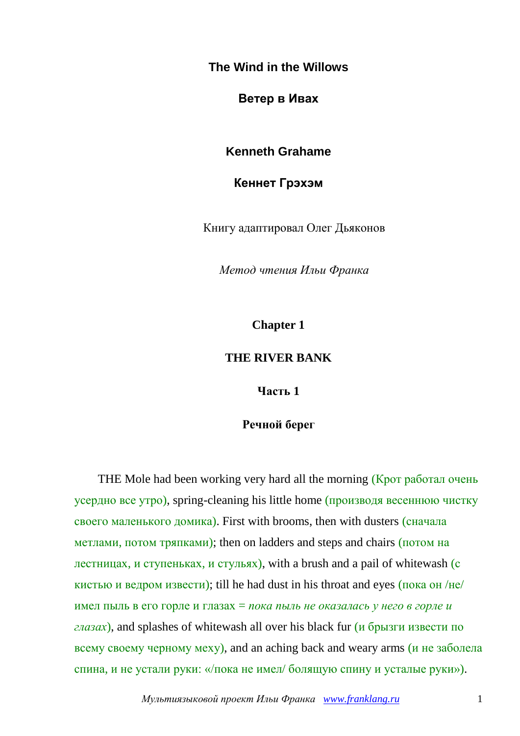**The Wind in the Willows**

**Ветер в Ивах**

**Kenneth Grahame**

**Кеннет Грэхэм**

Книгу адаптировал Олег Дьяконов

*Метод чтения Ильи Франка*

**Chapter 1**

#### **THE RIVER BANK**

**Часть 1**

#### **Речной берег**

THE Mole had been working very hard all the morning (Крот работал очень усердно все утро), spring-cleaning his little home (производя весеннюю чистку своего маленького домика). First with brooms, then with dusters (сначала метлами, потом тряпками); then on ladders and steps and chairs (потом на лестницах, и ступеньках, и стульях), with a brush and a pail of whitewash (с кистью и ведром извести); till he had dust in his throat and eyes (пока он /не/ имел пыль в его горле и глазах = *пока пыль не оказалась у него в горле и глазах*), and splashes of whitewash all over his black fur (и брызги извести по всему своему черному меху), and an aching back and weary arms (и не заболела спина, и не устали руки: «/пока не имел/ болящую спину и усталые руки»).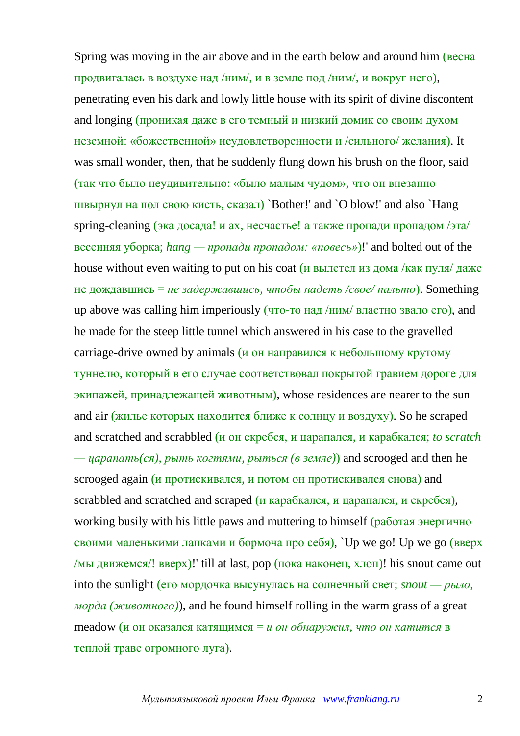Spring was moving in the air above and in the earth below and around him (весна продвигалась в воздухе над /ним/, и в земле под /ним/, и вокруг него), penetrating even his dark and lowly little house with its spirit of divine discontent and longing (проникая даже в его темный и низкий домик со своим духом неземной: «божественной» неудовлетворенности и /сильного/ желания). It was small wonder, then, that he suddenly flung down his brush on the floor, said (так что было неудивительно: «было малым чудом», что он внезапно швырнул на пол свою кисть, сказал) `Bother!' and `O blow!' and also `Hang spring-cleaning (эка досада! и ах, несчастье! а также пропади пропадом /эта/ весенняя уборка; *hang — пропади пропадом: «повесь»*)!' and bolted out of the house without even waiting to put on his coat (и вылетел из дома /как пуля/ даже не дождавшись = *не задержавшись, чтобы надеть /свое/ пальто*). Something up above was calling him imperiously (что-то над /ним/ властно звало его), and he made for the steep little tunnel which answered in his case to the gravelled carriage-drive owned by animals ( $\mu$  он направился к небольшому крутому туннелю, который в его случае соответствовал покрытой гравием дороге для экипажей, принадлежащей животным), whose residences are nearer to the sun and air (жилье которых находится ближе к солнцу и воздуху). So he scraped and scratched and scrabbled (и он скребся, и царапался, и карабкался; *to scratch* 

*— царапать(ся), рыть когтями, рыться (в земле)*) and scrooged and then he scrooged again (и протискивался, и потом он протискивался снова) and scrabbled and scratched and scraped (и карабкался, и царапался, и скребся), working busily with his little paws and muttering to himself (работая энергично своими маленькими лапками и бормоча про себя), `Up we go! Up we go (вверх /мы движемся/! вверх)! till at last, рор (пока наконец, хлоп)! his snout came out into the sunlight (его мордочка высунулась на солнечный свет; *snout — рыло, морда (животного)*), and he found himself rolling in the warm grass of a great meadow (и он оказался катящимся = *и он обнаружил, что он катится* в теплой траве огромного луга).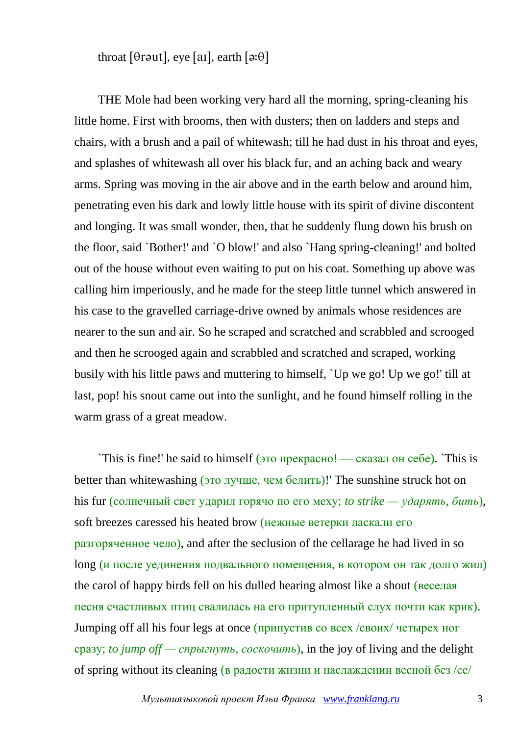throat [ $\theta$ r $\theta$ ut], eye [ai], earth [ $\theta$ : $\theta$ ]

THE Mole had been working very hard all the morning, spring-cleaning his little home. First with brooms, then with dusters; then on ladders and steps and chairs, with a brush and a pail of whitewash; till he had dust in his throat and eyes, and splashes of whitewash all over his black fur, and an aching back and weary arms. Spring was moving in the air above and in the earth below and around him, penetrating even his dark and lowly little house with its spirit of divine discontent and longing. It was small wonder, then, that he suddenly flung down his brush on the floor, said `Bother!' and `O blow!' and also `Hang spring-cleaning!' and bolted out of the house without even waiting to put on his coat. Something up above was calling him imperiously, and he made for the steep little tunnel which answered in his case to the gravelled carriage-drive owned by animals whose residences are nearer to the sun and air. So he scraped and scratched and scrabbled and scrooged and then he scrooged again and scrabbled and scratched and scraped, working busily with his little paws and muttering to himself, `Up we go! Up we go!' till at last, pop! his snout came out into the sunlight, and he found himself rolling in the warm grass of a great meadow.

`This is fine!' he said to himself (это прекрасно! — сказал он себе). `This is better than whitewashing (это лучше, чем белить)!' The sunshine struck hot on his fur (солнечный свет ударил горячо по его меху; *to strike — ударять, бить*), soft breezes caressed his heated brow (нежные ветерки ласкали его разгоряченное чело), and after the seclusion of the cellarage he had lived in so long (и после уединения подвального помещения, в котором он так долго жил) the carol of happy birds fell on his dulled hearing almost like a shout (веселая песня счастливых птиц свалилась на его притупленный слух почти как крик). Jumping off all his four legs at once (припустив со всех /своих/ четырех ног сразу; *to jump off — спрыгнуть, соскочить*), in the joy of living and the delight of spring without its cleaning (в радости жизни и наслаждении весной без /ее/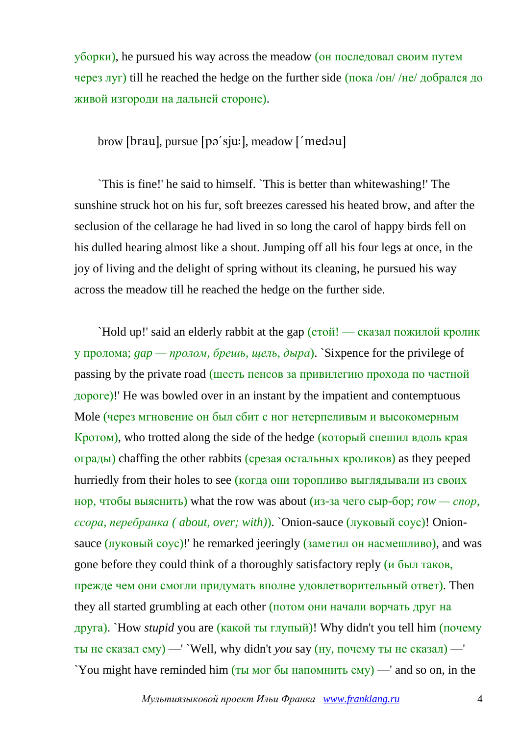уборки), he pursued his way across the meadow (он последовал своим путем через луг) till he reached the hedge on the further side (пока /он/ /не/ добрался до живой изгороди на дальней стороне).

#### brow [brau], pursue [pə'sju:], meadow ['medəu]

`This is fine!' he said to himself. `This is better than whitewashing!' The sunshine struck hot on his fur, soft breezes caressed his heated brow, and after the seclusion of the cellarage he had lived in so long the carol of happy birds fell on his dulled hearing almost like a shout. Jumping off all his four legs at once, in the joy of living and the delight of spring without its cleaning, he pursued his way across the meadow till he reached the hedge on the further side.

`Hold up!' said an elderly rabbit at the gap (стой! — сказал пожилой кролик у пролома; *gap — пролом, брешь, щель, дыра*). `Sixpence for the privilege of passing by the private road (шесть пенсов за привилегию прохода по частной дороге)!' He was bowled over in an instant by the impatient and contemptuous Mole (через мгновение он был сбит с ног нетерпеливым и высокомерным Кротом), who trotted along the side of the hedge (который спешил вдоль края ограды) chaffing the other rabbits (срезая остальных кроликов) as they peeped hurriedly from their holes to see (когда они торопливо выглядывали из своих нор, чтобы выяснить) what the row was about (из-за чего сыр-бор; *row — спор, ссора, перебранка ( about, over; with)*). `Onion-sauce (луковый соус)! Onionsauce (луковый соус)!' he remarked jeeringly (заметил он насмешливо), and was gone before they could think of a thoroughly satisfactory reply (и был таков, прежде чем они смогли придумать вполне удовлетворительный ответ). Then they all started grumbling at each other (потом они начали ворчать друг на друга). `How *stupid* you are (какой ты глупый)! Why didn't you tell him (почему ты не сказал ему) —' `Well, why didn't *you* say (ну, почему ты не сказал) —' `You might have reminded him (ты мог бы напомнить ему) —' and so on, in the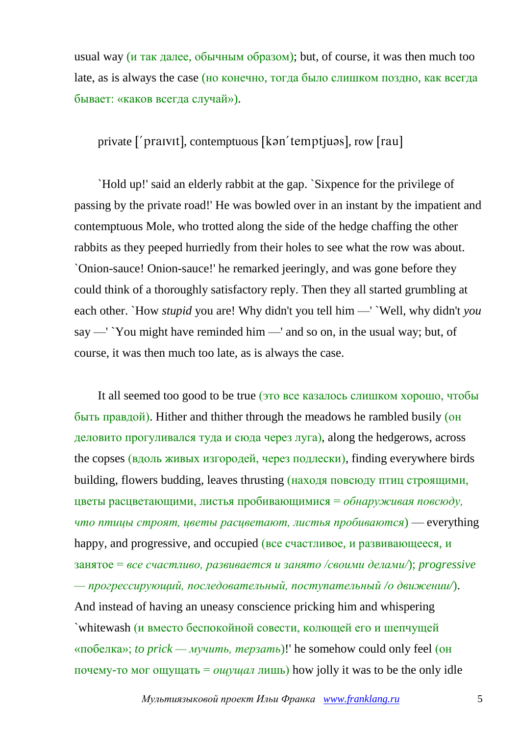usual way (и так далее, обычным образом); but, of course, it was then much too late, as is always the case (но конечно, тогда было слишком поздно, как всегда бывает: «каков всегда случай»).

private ['praivit], contemptuous [kən'temptjuəs], row [rau]

`Hold up!' said an elderly rabbit at the gap. `Sixpence for the privilege of passing by the private road!' He was bowled over in an instant by the impatient and contemptuous Mole, who trotted along the side of the hedge chaffing the other rabbits as they peeped hurriedly from their holes to see what the row was about. `Onion-sauce! Onion-sauce!' he remarked jeeringly, and was gone before they could think of a thoroughly satisfactory reply. Then they all started grumbling at each other. `How *stupid* you are! Why didn't you tell him —' `Well, why didn't *you* say —' `You might have reminded him —' and so on, in the usual way; but, of course, it was then much too late, as is always the case.

It all seemed too good to be true (это все казалось слишком хорошо, чтобы быть правдой). Hither and thither through the meadows he rambled busily (он деловито прогуливался туда и сюда через луга), along the hedgerows, across the copses (вдоль живых изгородей, через подлески), finding everywhere birds building, flowers budding, leaves thrusting (находя повсюду птиц строящими, цветы расцветающими, листья пробивающимися = *обнаруживая повсюду, что птицы строят, цветы расцветают, листья пробиваются*) — everything happy, and progressive, and occupied (все счастливое, и развивающееся, и занятое = *все счастливо, развивается и занято /своими делами/*); *progressive — прогрессирующий, последовательный, поступательный /о движении/*). And instead of having an uneasy conscience pricking him and whispering `whitewash (и вместо беспокойной совести, колющей его и шепчущей «побелка»; *to prick — мучить, терзать*)!' he somehow could only feel (он почему-то мог ощущать = *ощущал* лишь) how jolly it was to be the only idle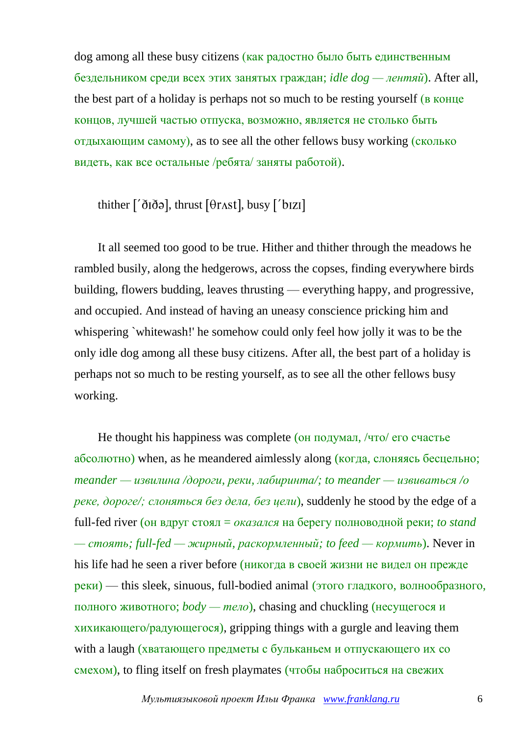dog among all these busy citizens (как радостно было быть единственным бездельником среди всех этих занятых граждан; *idle dog — лентяй*). After all, the best part of a holiday is perhaps not so much to be resting yourself (в конце концов, лучшей частью отпуска, возможно, является не столько быть отдыхающим самому), as to see all the other fellows busy working (сколько видеть, как все остальные /ребята/ заняты работой).

thither  $\lceil \delta \overline{\delta} \partial \overline{\delta} \rangle$ , thrust  $\lceil \theta \overline{\delta} \rangle$ , busy  $\lceil \delta \overline{\delta} \rangle$ 

It all seemed too good to be true. Hither and thither through the meadows he rambled busily, along the hedgerows, across the copses, finding everywhere birds building, flowers budding, leaves thrusting — everything happy, and progressive, and occupied. And instead of having an uneasy conscience pricking him and whispering `whitewash!' he somehow could only feel how jolly it was to be the only idle dog among all these busy citizens. After all, the best part of a holiday is perhaps not so much to be resting yourself, as to see all the other fellows busy working.

He thought his happiness was complete (он подумал, /что/ его счастье абсолютно) when, as he meandered aimlessly along (когда, слоняясь бесцельно; *meander — извилина /дороги, реки, лабиринта/; to meander — извиваться /о реке, дороге/; слоняться без дела, без цели*), suddenly he stood by the edge of a full-fed river (он вдруг стоял = *оказался* на берегу полноводной реки; *to stand — стоять; full-fed — жирный, раскормленный; to feed — кормить*). Never in his life had he seen a river before (никогда в своей жизни не видел он прежде реки) — this sleek, sinuous, full-bodied animal (этого гладкого, волнообразного, полного животного; *body — тело*), chasing and chuckling (несущегося и хихикающего/радующегося), gripping things with a gurgle and leaving them with a laugh (хватающего предметы с бульканьем и отпускающего их со смехом), to fling itself on fresh playmates (чтобы наброситься на свежих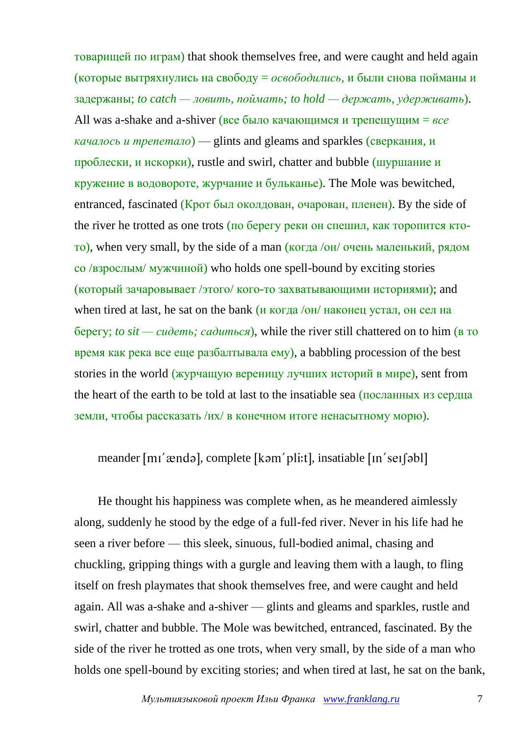товарищей по играм) that shook themselves free, and were caught and held again (которые вытряхнулись на свободу = *освободились*, и были снова пойманы и задержаны; *to catch — ловить, поймать; to hold — держать, удерживать*). All was a-shake and a-shiver (все было качающимся и трепещущим = *все качалось и трепетало*) — glints and gleams and sparkles (сверкания, и проблески, и искорки), rustle and swirl, chatter and bubble (шуршание и кружение в водовороте, журчание и бульканье). The Mole was bewitched, entranced, fascinated (Крот был околдован, очарован, пленен). By the side of the river he trotted as one trots (по берегу реки он спешил, как торопится ктото), when very small, by the side of a man (когда /он/ очень маленький, рядом со /взрослым/ мужчиной) who holds one spell-bound by exciting stories (который зачаровывает /этого/ кого-то захватывающими историями); and when tired at last, he sat on the bank (*и* когда /он/ наконец устал, он сел на берегу; *to sit — сидеть; садиться*), while the river still chattered on to him (в то время как река все еще разбалтывала ему), a babbling procession of the best stories in the world (журчащую вереницу лучших историй в мире), sent from the heart of the earth to be told at last to the insatiable sea (посланных из сердца земли, чтобы рассказать /их/ в конечном итоге ненасытному морю).

#### meander [m1' xenda], complete [kam' pli:t], insatiable [In' selfabl]

He thought his happiness was complete when, as he meandered aimlessly along, suddenly he stood by the edge of a full-fed river. Never in his life had he seen a river before — this sleek, sinuous, full-bodied animal, chasing and chuckling, gripping things with a gurgle and leaving them with a laugh, to fling itself on fresh playmates that shook themselves free, and were caught and held again. All was a-shake and a-shiver — glints and gleams and sparkles, rustle and swirl, chatter and bubble. The Mole was bewitched, entranced, fascinated. By the side of the river he trotted as one trots, when very small, by the side of a man who holds one spell-bound by exciting stories; and when tired at last, he sat on the bank,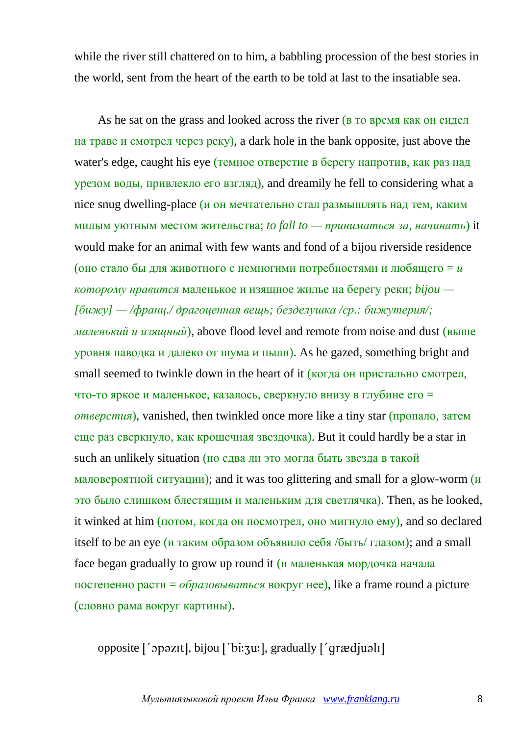while the river still chattered on to him, a babbling procession of the best stories in the world, sent from the heart of the earth to be told at last to the insatiable sea.

As he sat on the grass and looked across the river (в то время как он сидел на траве и смотрел через реку), a dark hole in the bank opposite, just above the water's edge, caught his eye (темное отверстие в берегу напротив, как раз над урезом воды, привлекло его взгляд), and dreamily he fell to considering what a nice snug dwelling-place (и он мечтательно стал размышлять над тем, каким милым уютным местом жительства; *to fall to — приниматься за, начинать*) it would make for an animal with few wants and fond of a bijou riverside residence (оно стало бы для животного с немногими потребностями и любящего = *и которому нравится* маленькое и изящное жилье на берегу реки; *bijou — [бижу] — /франц./ драгоценная вещь; безделушка /ср.: бижутерия/; маленький и изящный*), above flood level and remote from noise and dust (выше уровня паводка и далеко от шума и пыли). As he gazed, something bright and small seemed to twinkle down in the heart of it (когда он пристально смотрел, что-то яркое и маленькое, казалось, сверкнуло внизу в глубине его = *отверстия*), vanished, then twinkled once more like a tiny star (пропало, затем еще раз сверкнуло, как крошечная звездочка). But it could hardly be a star in such an unlikely situation (но едва ли это могла быть звезда в такой маловероятной ситуации); and it was too glittering and small for a glow-worm (и это было слишком блестящим и маленьким для светлячка). Then, as he looked, it winked at him (потом, когда он посмотрел, оно мигнуло ему), and so declared itself to be an eye (и таким образом объявило себя /быть/ глазом); and a small face began gradually to grow up round it (и маленькая мордочка начала постепенно расти = *образовываться* вокруг нее), like a frame round a picture (словно рама вокруг картины).

opposite ['opazit], bijou ['bi:3u:], gradually ['grædjuali]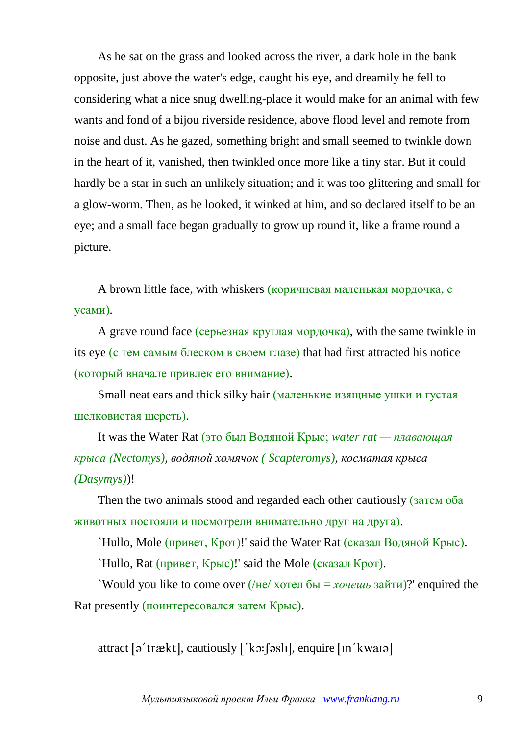As he sat on the grass and looked across the river, a dark hole in the bank opposite, just above the water's edge, caught his eye, and dreamily he fell to considering what a nice snug dwelling-place it would make for an animal with few wants and fond of a bijou riverside residence, above flood level and remote from noise and dust. As he gazed, something bright and small seemed to twinkle down in the heart of it, vanished, then twinkled once more like a tiny star. But it could hardly be a star in such an unlikely situation; and it was too glittering and small for a glow-worm. Then, as he looked, it winked at him, and so declared itself to be an eye; and a small face began gradually to grow up round it, like a frame round a picture.

A brown little face, with whiskers (коричневая маленькая мордочка, с усами).

A grave round face (серьезная круглая мордочка), with the same twinkle in its eye (с тем самым блеском в своем глазе) that had first attracted his notice (который вначале привлек его внимание).

Small neat ears and thick silky hair (маленькие изящные ушки и густая шелковистая шерсть).

It was the Water Rat (это был Водяной Крыс; *water rat — плавающая крыса (Nectomys), водяной хомячок ( Scapteromys), косматая крыса (Dasymys)*)!

Then the two animals stood and regarded each other cautiously (затем оба животных постояли и посмотрели внимательно друг на друга).

`Hullo, Mole (привет, Крот)!' said the Water Rat (сказал Водяной Крыс).

`Hullo, Rat (привет, Крыс)!' said the Mole (сказал Крот).

`Would you like to come over (/не/ хотел бы = *хочешь* зайти)?' enquired the Rat presently (поинтересовался затем Крыс).

attract  $\lceil \rho' \text{tr} \ddot{\alpha} x \rceil$ , cautiously  $\lceil x \cdot \dot{\alpha} x \rceil$ , enquire  $\lceil \ln' x \cdot \dot{\alpha} x \rceil$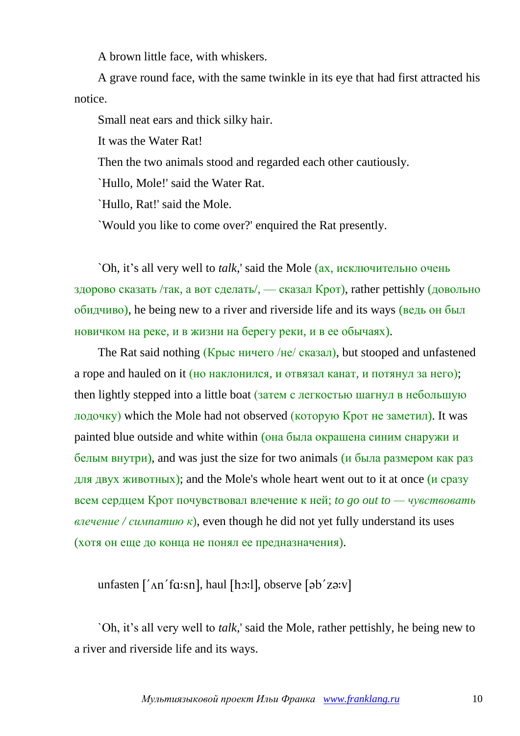A brown little face, with whiskers.

A grave round face, with the same twinkle in its eye that had first attracted his notice.

Small neat ears and thick silky hair.

It was the Water Rat!

Then the two animals stood and regarded each other cautiously.

`Hullo, Mole!' said the Water Rat.

`Hullo, Rat!' said the Mole.

`Would you like to come over?' enquired the Rat presently.

`Oh, it's all very well to *talk*,' said the Mole (ах, исключительно очень здорово сказать /так, а вот сделать/, — сказал Крот), rather pettishly (довольно обидчиво), he being new to a river and riverside life and its ways (ведь он был новичком на реке, и в жизни на берегу реки, и в ее обычаях).

The Rat said nothing (Крыс ничего /не/ сказал), but stooped and unfastened a rope and hauled on it (но наклонился, и отвязал канат, и потянул за него); then lightly stepped into a little boat (затем с легкостью шагнул в небольшую лодочку) which the Mole had not observed (которую Крот не заметил). It was painted blue outside and white within (она была окрашена синим снаружи и белым внутри), and was just the size for two animals (и была размером как раз для двух животных); and the Mole's whole heart went out to it at once (и сразу всем сердцем Крот почувствовал влечение к ней; *to go out to — чувствовать*  $\theta$ *влечение* / *симпатию*  $\kappa$ , even though he did not yet fully understand its uses (хотя он еще до конца не понял ее предназначения).

unfasten ['An'fɑ:sn], haul [hɔ:l], observe [əb'zə:v]

`Oh, it's all very well to *talk*,' said the Mole, rather pettishly, he being new to a river and riverside life and its ways.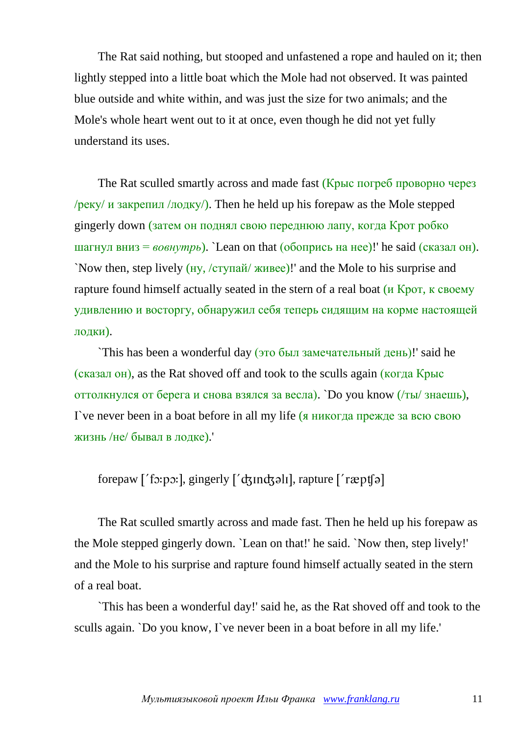The Rat said nothing, but stooped and unfastened a rope and hauled on it; then lightly stepped into a little boat which the Mole had not observed. It was painted blue outside and white within, and was just the size for two animals; and the Mole's whole heart went out to it at once, even though he did not yet fully understand its uses.

The Rat sculled smartly across and made fast (Крыс погреб проворно через /реку/ и закрепил /лодку/). Then he held up his forepaw as the Mole stepped gingerly down (затем он поднял свою переднюю лапу, когда Крот робко шагнул вниз = *вовнутрь*). `Lean on that (обопрись на нее)!' he said (сказал он). `Now then, step lively (ну, /ступай/ живее)!' and the Mole to his surprise and rapture found himself actually seated in the stern of a real boat (и Крот, к своему удивлению и восторгу, обнаружил себя теперь сидящим на корме настоящей лодки).

`This has been a wonderful day (это был замечательный день)!' said he (сказал он), as the Rat shoved off and took to the sculls again (когда Крыс оттолкнулся от берега и снова взялся за весла). `Do you know (/ты/ знаешь), I`ve never been in a boat before in all my life (я никогда прежде за всю свою жизнь /не/ бывал в лодке).'

# forepaw ['fɔ:pɔ:], gingerly ['dʒɪndʒəlɪ], rapture ['ræptʃə]

The Rat sculled smartly across and made fast. Then he held up his forepaw as the Mole stepped gingerly down. `Lean on that!' he said. `Now then, step lively!' and the Mole to his surprise and rapture found himself actually seated in the stern of a real boat.

`This has been a wonderful day!' said he, as the Rat shoved off and took to the sculls again. `Do you know, I`ve never been in a boat before in all my life.'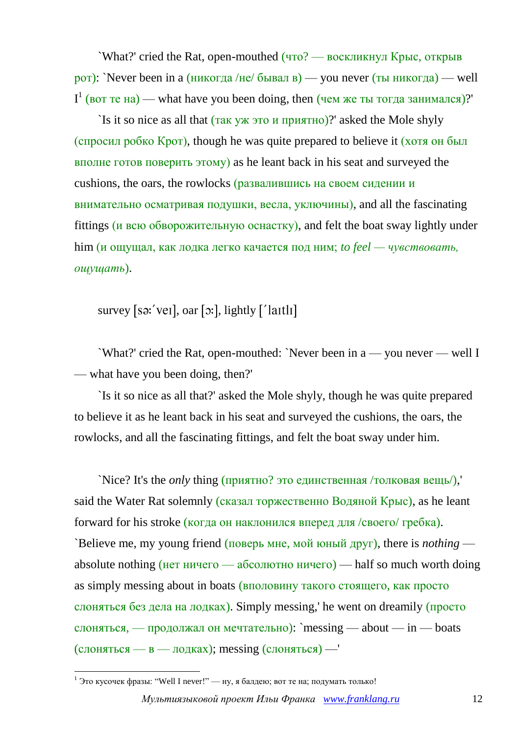`What?' cried the Rat, open-mouthed (что? — воскликнул Крыс, открыв  $p$ от): `Never been in а (никогда /не/ бывал в) — you never (ты никогда) — well  $I<sup>1</sup>$  (вот те на) — what have you been doing, then (чем же ты тогда занимался)?

`Is it so nice as all that (так уж это и приятно)?' asked the Mole shyly (спросил робко Крот), though he was quite prepared to believe it (хотя он был вполне готов поверить этому) as he leant back in his seat and surveyed the cushions, the oars, the rowlocks (развалившись на своем сидении и внимательно осматривая подушки, весла, уключины), and all the fascinating fittings (и всю обворожительную оснастку), and felt the boat sway lightly under him (и ощущал, как лодка легко качается под ним; *to feel — чувствовать, ощущать*).

survey [sə:'veɪ], oar [ɔ:], lightly  $[$ 'laɪtlɪ]

`What?' cried the Rat, open-mouthed: `Never been in a — you never — well I — what have you been doing, then?'

`Is it so nice as all that?' asked the Mole shyly, though he was quite prepared to believe it as he leant back in his seat and surveyed the cushions, the oars, the rowlocks, and all the fascinating fittings, and felt the boat sway under him.

`Nice? It's the *only* thing (приятно? это единственная /толковая вещь/),' said the Water Rat solemnly (сказал торжественно Водяной Крыс), as he leant forward for his stroke (когда он наклонился вперед для /своего/ гребка). `Believe me, my young friend (поверь мне, мой юный друг), there is *nothing* absolute nothing (нет ничего — абсолютно ничего) — half so much worth doing as simply messing about in boats (вполовину такого стоящего, как просто слоняться без дела на лодках). Simply messing,' he went on dreamily (просто слоняться, — продолжал он мечтательно): `messing — about — in — boats (слоняться — в — лодках); messing (слоняться) —'

<sup>1</sup> <sup>1</sup> Это кусочек фразы: "Well I never!" — ну, я балдею; вот те на; подумать только!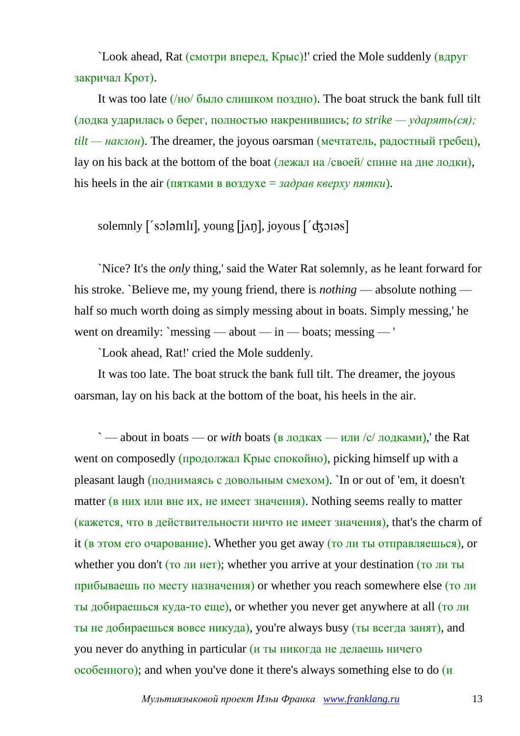`Look ahead, Rat (смотри вперед, Крыс)!' cried the Mole suddenly (вдруг закричал Крот).

It was too late (/но/ было слишком поздно). The boat struck the bank full tilt (лодка ударилась о берег, полностью накренившись; *to strike — ударять(ся);*  $\textit{tilt}$  — *наклон*). The dreamer, the joyous oarsman (мечтатель, радостный гребец), lay on his back at the bottom of the boat (лежал на /своей/ спине на дне лодки), his heels in the air (пятками в воздухе = *задрав кверху пятки*).

## solemnly  $\lceil$ 'soləmli, young  $\lceil$ i/n, joyous  $\lceil$ 'dzorəs]

`Nice? It's the *only* thing,' said the Water Rat solemnly, as he leant forward for his stroke. `Believe me, my young friend, there is *nothing* — absolute nothing half so much worth doing as simply messing about in boats. Simply messing,' he went on dreamily: `messing — about — in — boats; messing — '

`Look ahead, Rat!' cried the Mole suddenly.

It was too late. The boat struck the bank full tilt. The dreamer, the joyous oarsman, lay on his back at the bottom of the boat, his heels in the air.

 $\sim$  — about in boats — or *with* boats (в лодках — или /с/ лодками), the Rat went on composedly (продолжал Крыс спокойно), picking himself up with a pleasant laugh (поднимаясь с довольным смехом). `In or out of 'em, it doesn't matter (в них или вне их, не имеет значения). Nothing seems really to matter (кажется, что в действительности ничто не имеет значения), that's the charm of it (в этом его очарование). Whether you get away (то ли ты отправляешься), or whether you don't (<u>то ли нет</u>); whether you arrive at your destination (то ли ты прибываешь по месту назначения) or whether you reach somewhere else (то ли ты добираешься куда-то еще), or whether you never get anywhere at all (то ли ты не добираешься вовсе никуда), you're always busy (ты всегда занят), and you never do anything in particular (и ты никогда не делаешь ничего особенного); and when you've done it there's always something else to do (и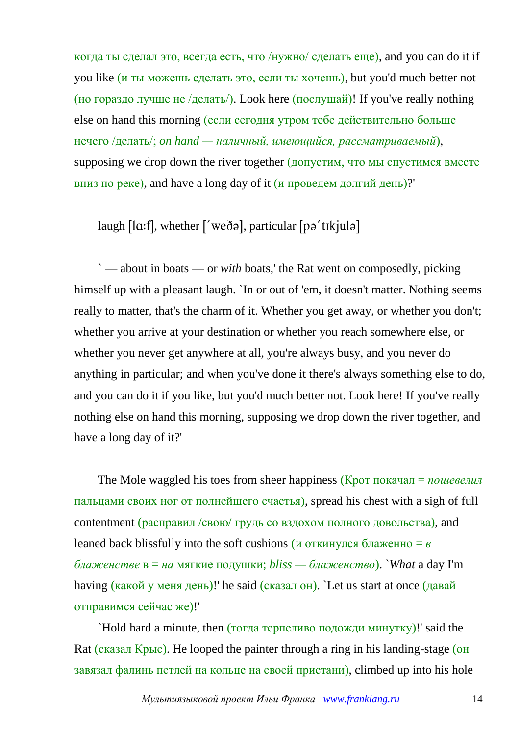когда ты сделал это, всегда есть, что /нужно/ сделать еще), and you can do it if you like (и ты можешь сделать это, если ты хочешь), but you'd much better not (но гораздо лучше не /делать/). Look here (послушай)! If you've really nothing else on hand this morning (если сегодня утром тебе действительно больше нечего /делать/; *on hand — наличный, имеющийся, рассматриваемый*), supposing we drop down the river together (допустим, что мы спустимся вместе вниз по реке), and have a long day of it  $(u$  проведем долгий день)?

# laugh , whether , particular

` — about in boats — or *with* boats,' the Rat went on composedly, picking himself up with a pleasant laugh. `In or out of 'em, it doesn't matter. Nothing seems really to matter, that's the charm of it. Whether you get away, or whether you don't; whether you arrive at your destination or whether you reach somewhere else, or whether you never get anywhere at all, you're always busy, and you never do anything in particular; and when you've done it there's always something else to do, and you can do it if you like, but you'd much better not. Look here! If you've really nothing else on hand this morning, supposing we drop down the river together, and have a long day of it?'

The Mole waggled his toes from sheer happiness (Крот покачал = *пошевелил* пальцами своих ног от полнейшего счастья), spread his chest with a sigh of full contentment (расправил /свою/ грудь со вздохом полного довольства), and leaned back blissfully into the soft cushions (и откинулся блаженно = *в блаженстве* в = *на* мягкие подушки; *bliss — блаженство*). `*What* a day I'm having (какой у меня день)!' he said (сказал он). `Let us start at once (давай отправимся сейчас же)!'

`Hold hard a minute, then (тогда терпеливо подожди минутку)!' said the Rat (сказал Крыс). He looped the painter through a ring in his landing-stage (он завязал фалинь петлей на кольце на своей пристани), climbed up into his hole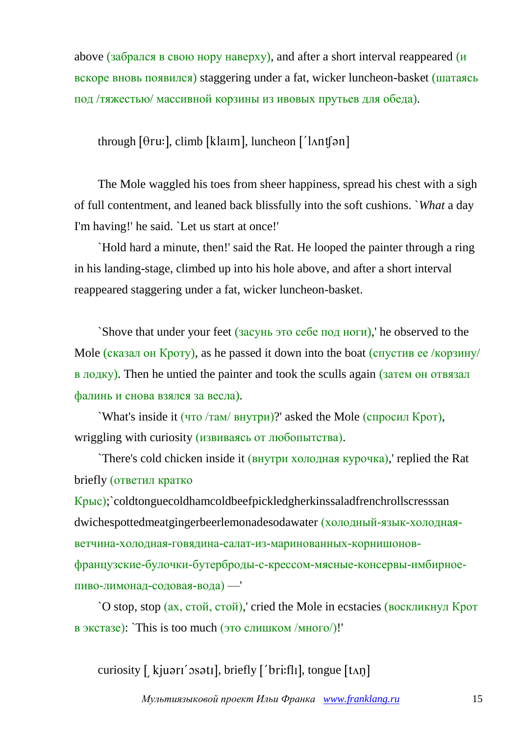above (забрался в свою нору наверху), and after a short interval reappeared  $(\mu$ вскоре вновь появился) staggering under a fat, wicker luncheon-basket (шатаясь под /тяжестью/ массивной корзины из ивовых прутьев для обеда).

through  $[0ru:]$ , climb  $[klarm]$ , luncheon  $[lant[9n]$ 

The Mole waggled his toes from sheer happiness, spread his chest with a sigh of full contentment, and leaned back blissfully into the soft cushions. `*What* a day I'm having!' he said. `Let us start at once!'

`Hold hard a minute, then!' said the Rat. He looped the painter through a ring in his landing-stage, climbed up into his hole above, and after a short interval reappeared staggering under a fat, wicker luncheon-basket.

`Shove that under your feet (засунь это себе под ноги),' he observed to the Mole (сказал он Кроту), as he passed it down into the boat (спустив ее /корзину/ в лодку). Then he untied the painter and took the sculls again (затем он отвязал фалинь и снова взялся за весла).

`What's inside it (что /там/ внутри)?' asked the Mole (спросил Крот), wriggling with curiosity (извиваясь от любопытства).

`There's cold chicken inside it (внутри холодная курочка),' replied the Rat briefly (ответил кратко

Крыс);`coldtonguecoldhamcoldbeefpickledgherkinssaladfrenchrollscresssan dwichespottedmeatgingerbeerlemonadesodawater (холодный-язык-холоднаяветчина-холодная-говядина-салат-из-маринованных-корнишоновфранцузские-булочки-бутерброды-с-крессом-мясные-консервы-имбирноепиво-лимонад-содовая-вода) —'

`O stop, stop (ах, стой, стой),' cried the Mole in ecstacies (воскликнул Крот в экстазе): `This is too much (это слишком /много/)!'

curiosity [ kjuari' osatı], briefly ['bri:flɪ], tongue [tʌŋ]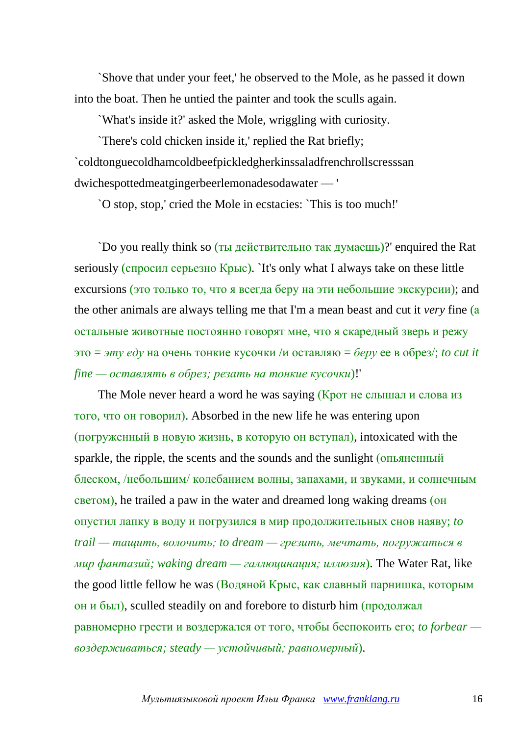`Shove that under your feet,' he observed to the Mole, as he passed it down into the boat. Then he untied the painter and took the sculls again.

`What's inside it?' asked the Mole, wriggling with curiosity.

`There's cold chicken inside it,' replied the Rat briefly; `coldtonguecoldhamcoldbeefpickledgherkinssaladfrenchrollscresssan dwichespottedmeatgingerbeerlemonadesodawater — '

`O stop, stop,' cried the Mole in ecstacies: `This is too much!'

`Do you really think so (ты действительно так думаешь)?' enquired the Rat seriously (спросил серьезно Крыс). `It's only what I always take on these little excursions (это только то, что я всегда беру на эти небольшие экскурсии); and the other animals are always telling me that I'm a mean beast and cut it *very* fine (а остальные животные постоянно говорят мне, что я скаредный зверь и режу это = *эту еду* на очень тонкие кусочки /и оставляю = *беру* ее в обрез/; *to cut it fine — оставлять в обрез; резать на тонкие кусочки*)!'

The Mole never heard a word he was saying (Крот не слышал и слова из того, что он говорил). Absorbed in the new life he was entering upon (погруженный в новую жизнь, в которую он вступал), intoxicated with the sparkle, the ripple, the scents and the sounds and the sunlight (опьяненный блеском, /небольшим/ колебанием волны, запахами, и звуками, и солнечным светом), he trailed a paw in the water and dreamed long waking dreams (он опустил лапку в воду и погрузился в мир продолжительных снов наяву; *to trail — тащить, волочить; to dream — грезить, мечтать, погружаться в мир фантазий; waking dream — галлюцинация; иллюзия*). The Water Rat, like the good little fellow he was (Водяной Крыс, как славный парнишка, которым он и был), sculled steadily on and forebore to disturb him (продолжал равномерно грести и воздержался от того, чтобы беспокоить его; *to forbear воздерживаться; steady — устойчивый; равномерный*).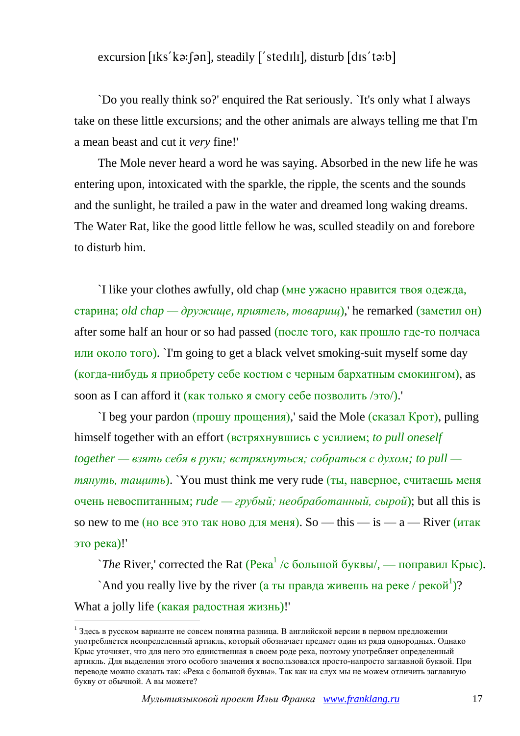excursion  $[iks'k\in\mathbb{R}]$ , steadily  $[$ 'stedili, disturb  $[dis't\in\mathbb{R}]$ 

`Do you really think so?' enquired the Rat seriously. `It's only what I always take on these little excursions; and the other animals are always telling me that I'm a mean beast and cut it *very* fine!'

The Mole never heard a word he was saying. Absorbed in the new life he was entering upon, intoxicated with the sparkle, the ripple, the scents and the sounds and the sunlight, he trailed a paw in the water and dreamed long waking dreams. The Water Rat, like the good little fellow he was, sculled steadily on and forebore to disturb him.

`I like your clothes awfully, old chap (мне ужасно нравится твоя одежда, старина; *old chap — дружище, приятель, товарищ*),' he remarked (заметил он) after some half an hour or so had passed (после того, как прошло где-то полчаса или около того). `I'm going to get a black velvet smoking-suit myself some day (когда-нибудь я приобрету себе костюм с черным бархатным смокингом), as soon as I can afford it (как только я смогу себе позволить /это/).

`I beg your pardon (прошу прощения),' said the Mole (сказал Крот), pulling himself together with an effort (встряхнувшись с усилием; *to pull oneself together — взять себя в руки; встряхнуться; собраться с духом; to pull тянуть, тащить*). `You must think me very rude (ты, наверное, считаешь меня очень невоспитанным; *rude — грубый; необработанный, сырой*); but all this is so new to me (но все это так ново для меня). So — this — is —  $a$  — River (итак это река)!'

 $\hat{\ }$ *The* River,' corrected the Rat (Река<sup>1</sup> /с большой буквы/, — поправил Крыс). `And you really live by the river (а ты правда живешь на реке / рекой<sup>1</sup>)? What a jolly life (какая радостная жизнь)!'

<u>.</u>

<sup>&</sup>lt;sup>1</sup> Здесь в русском варианте не совсем понятна разница. В английской версии в первом предложении употребляется неопределенный артикль, который обозначает предмет один из ряда однородных. Однако Крыс уточняет, что для него это единственная в своем роде река, поэтому употребляет определенный артикль. Для выделения этого особого значения я воспользовался просто-напросто заглавной буквой. При переводе можно сказать так: «Река с большой буквы». Так как на слух мы не можем отличить заглавную букву от обычной. А вы можете?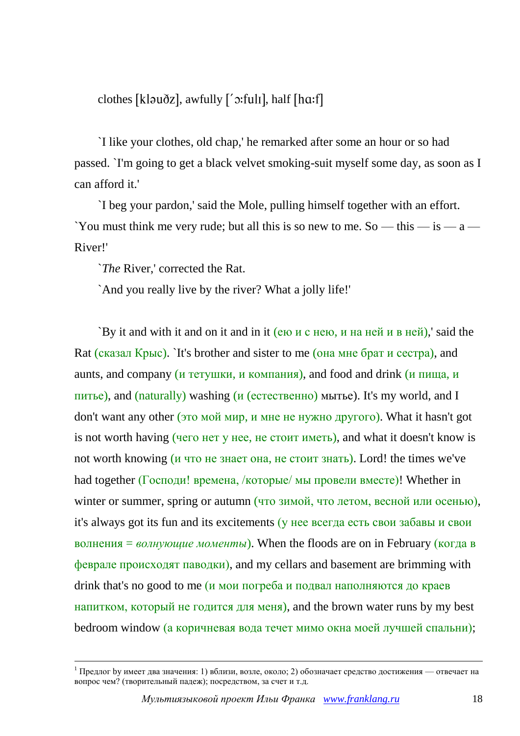clothes [kləuðz], awfully  $\lceil$ '  $\sigma$ :full], half [h $\alpha$ :f]

`I like your clothes, old chap,' he remarked after some an hour or so had passed. `I'm going to get a black velvet smoking-suit myself some day, as soon as I can afford it.'

`I beg your pardon,' said the Mole, pulling himself together with an effort. `You must think me very rude; but all this is so new to me. So — this — is — a — River!'

`*The* River,' corrected the Rat.

1

`And you really live by the river? What a jolly life!'

`By it and with it and on it and in it (ею и с нею, и на ней и в ней),' said the Rat (сказал Крыс). `It's brother and sister to me (она мне брат и сестра), and aunts, and company (и тетушки, и компания), and food and drink (и пища, и питье), and (naturally) washing (и (естественно) мытье). It's my world, and I don't want any other (это мой мир, и мне не нужно другого). What it hasn't got is not worth having (чего нет у нее, не стоит иметь), and what it doesn't know is not worth knowing (и что не знает она, не стоит знать). Lord! the times we've had together (Господи! времена, /которые/ мы провели вместе)! Whether in winter or summer, spring or autumn (что зимой, что летом, весной или осенью), it's always got its fun and its excitements (у нее всегда есть свои забавы и свои волнения = *волнующие моменты*). When the floods are on in February (когда в феврале происходят паводки), and my cellars and basement are brimming with drink that's no good to me (и мои погреба и подвал наполняются до краев напитком, который не годится для меня), and the brown water runs by my best bedroom window (а коричневая вода течет мимо окна моей лучшей спальни);

<sup>&</sup>lt;sup>1</sup> Предлог by имеет два значения: 1) вблизи, возле, около; 2) обозначает средство достижения — отвечает на вопрос чем? (творительный падеж); посредством, за счет и т.д.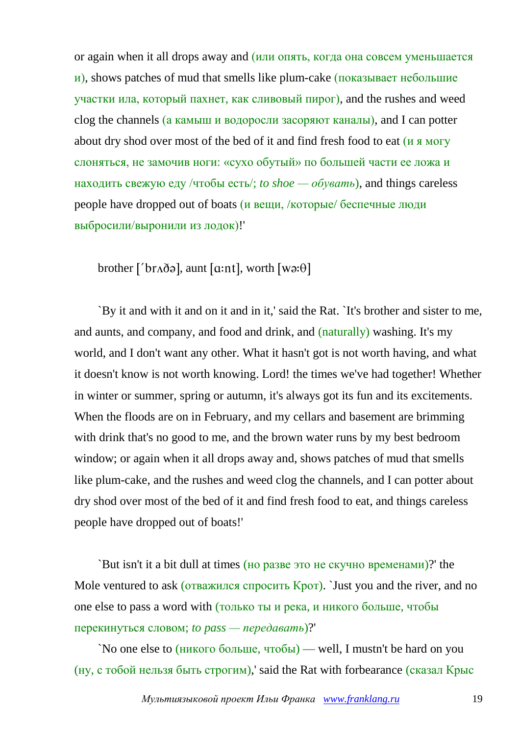or again when it all drops away and (или опять, когда она совсем уменьшается  $\mu$ ), shows patches of mud that smells like plum-cake (показывает небольшие участки ила, который пахнет, как сливовый пирог), and the rushes and weed clog the channels (а камыш и водоросли засоряют каналы), and I can potter about dry shod over most of the bed of it and find fresh food to eat (и я могу слоняться, не замочив ноги: «сухо обутый» по большей части ее ложа и находить свежую еду /чтобы есть/; *to shoe — обувать*), and things careless people have dropped out of boats (и вещи, /которые/ беспечные люди выбросили/выронили из лодок)!'

brother [' $br\Delta\eth$ ə], aunt [a:nt], worth [wə: $\theta$ ]

`By it and with it and on it and in it,' said the Rat. `It's brother and sister to me, and aunts, and company, and food and drink, and (naturally) washing. It's my world, and I don't want any other. What it hasn't got is not worth having, and what it doesn't know is not worth knowing. Lord! the times we've had together! Whether in winter or summer, spring or autumn, it's always got its fun and its excitements. When the floods are on in February, and my cellars and basement are brimming with drink that's no good to me, and the brown water runs by my best bedroom window; or again when it all drops away and, shows patches of mud that smells like plum-cake, and the rushes and weed clog the channels, and I can potter about dry shod over most of the bed of it and find fresh food to eat, and things careless people have dropped out of boats!'

`But isn't it a bit dull at times (но разве это не скучно временами)?' the Mole ventured to ask (отважился спросить Крот). Just you and the river, and no one else to pass a word with (только ты и река, и никого больше, чтобы перекинуться словом; *to pass — передавать*)?'

`No one else to (никого больше, чтобы) — well, I mustn't be hard on you (ну, с тобой нельзя быть строгим),' said the Rat with forbearance (сказал Крыс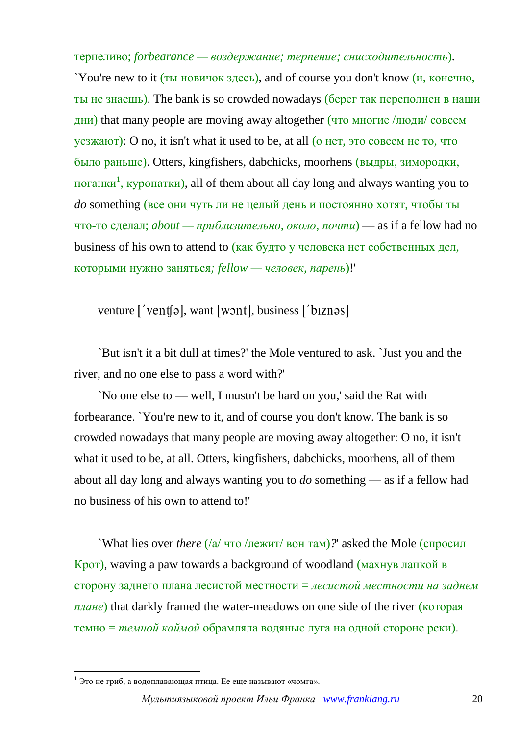терпеливо; *forbearance — воздержание; терпение; снисходительность*).

`You're new to it (ты новичок здесь), and of course you don't know (и, конечно, ты не знаешь). The bank is so crowded nowadays (берег так переполнен в наши дни) that many people are moving away altogether (что многие /люди/ совсем уезжают): O no, it isn't what it used to be, at all (о нет, это совсем не то, что было раньше). Otters, kingfishers, dabchicks, moorhens (выдры, зимородки, поганки<sup>1</sup>, куропатки), all of them about all day long and always wanting you to *do* something (все они чуть ли не целый день и постоянно хотят, чтобы ты что-то сделал; *about — приблизительно, около, почти*) — as if a fellow had no business of his own to attend to (как будто у человека нет собственных дел, которыми нужно заняться*; fellow — человек, парень*)!'

venture  $\lceil \sqrt{\text{vent}} \rceil$ , want  $\lceil \text{worth} \rceil$ , business  $\lceil \text{btznos} \rceil$ 

`But isn't it a bit dull at times?' the Mole ventured to ask. `Just you and the river, and no one else to pass a word with?'

`No one else to — well, I mustn't be hard on you,' said the Rat with forbearance. `You're new to it, and of course you don't know. The bank is so crowded nowadays that many people are moving away altogether: O no, it isn't what it used to be, at all. Otters, kingfishers, dabchicks, moorhens, all of them about all day long and always wanting you to *do* something — as if a fellow had no business of his own to attend to!'

`What lies over *there* (/а/ что /лежит/ вон там)*?*' asked the Mole (спросил Крот), waving a paw towards a background of woodland (махнув лапкой в сторону заднего плана лесистой местности = *лесистой местности на заднем плане*) that darkly framed the water-meadows on one side of the river (которая темно = *темной каймой* обрамляла водяные луга на одной стороне реки).

1

 $1$  Это не гриб, а водоплавающая птица. Ее еще называют «чомга».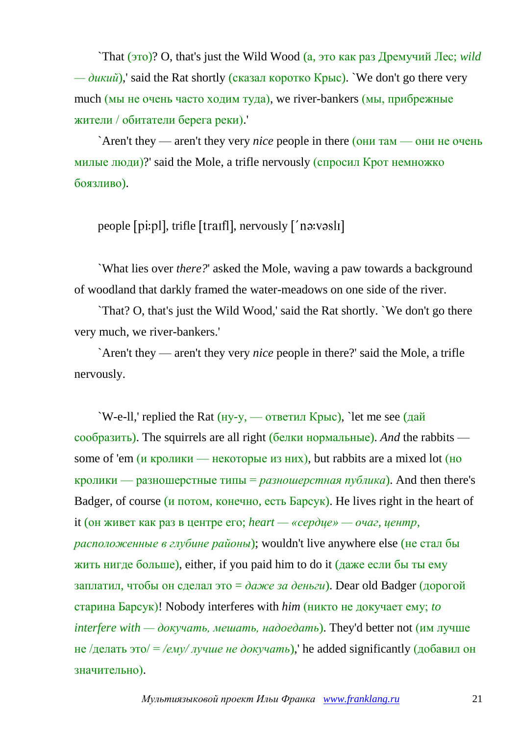`That (это)? O, that's just the Wild Wood (а, это как раз Дремучий Лес; *wild*  $-\partial u \kappa u \tilde{u}$ ),' said the Rat shortly (сказал коротко Крыс). `We don't go there very much (мы не очень часто ходим туда), we river-bankers (мы, прибрежные жители / обитатели берега реки).'

`Aren't they — aren't they very *nice* people in there (они там — они не очень милые люди)?' said the Mole, a trifle nervously (спросил Крот немножко боязливо).

people [pi:pl], trifle [traif], nervously  $\lceil$  natives not

`What lies over *there?*' asked the Mole, waving a paw towards a background of woodland that darkly framed the water-meadows on one side of the river.

`That? O, that's just the Wild Wood,' said the Rat shortly. `We don't go there very much, we river-bankers.'

`Aren't they — aren't they very *nice* people in there?' said the Mole, a trifle nervously.

`W-e-ll,' replied the Rat  $(Hy-y)$ , — ответил Крыс), `let me see (дай сообразить). The squirrels are all right (белки нормальные). *And* the rabbits some of 'em (и кролики — некоторые из них), but rabbits are a mixed lot (но кролики — разношерстные типы = *разношерстная публика*). And then there's Badger, of course (и потом, конечно, есть Барсук). He lives right in the heart of it (он живет как раз в центре его; *heart — «сердце» — очаг, центр, расположенные в глубине районы*); wouldn't live anywhere else (не стал бы жить нигде больше), either, if you paid him to do it (даже если бы ты ему заплатил, чтобы он сделал это = *даже за деньги*). Dear old Badger (дорогой старина Барсук)! Nobody interferes with *him* (никто не докучает ему; *to interfere with — докучать, мешать, надоедать*). They'd better not (им лучше не /делать это/ = */ему/ лучше не докучать*),' he added significantly (добавил он значительно).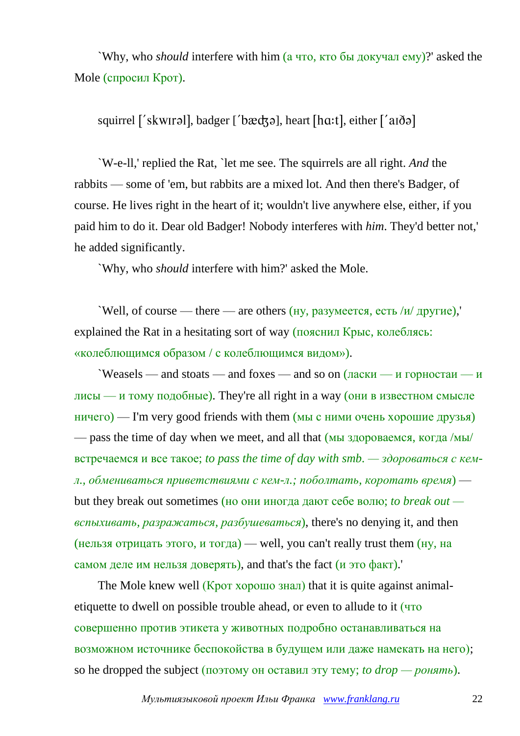`Why, who *should* interfere with him (а что, кто бы докучал ему)?' asked the Mole (спросил Крот).

squirrel ['skwirəl], badger ['bædʒə], heart  $[ha:t]$ , either  $[$ 'a $\delta$ ə]

`W-e-ll,' replied the Rat, `let me see. The squirrels are all right. *And* the rabbits — some of 'em, but rabbits are a mixed lot. And then there's Badger, of course. He lives right in the heart of it; wouldn't live anywhere else, either, if you paid him to do it. Dear old Badger! Nobody interferes with *him*. They'd better not,' he added significantly.

`Why, who *should* interfere with him?' asked the Mole.

 $\text{Well, of course — there — are others (HY, разумеется, ecть } /w / \text{другие}).$ explained the Rat in a hesitating sort of way (пояснил Крыс, колеблясь: «колеблющимся образом / с колеблющимся видом»).

 $\gamma$  Weasels — and stoats — and foxes — and so on  $(\text{nc}\text{ru}) - \text{nc}\text{ru}$ лисы — и тому подобные). They're all right in a way (они в известном смысле  $H = H + H + H$  is  $\mathcal{L} = \mathcal{L}$  and  $\mathcal{L} = \mathcal{L}$  is the  $H$  and  $\mathcal{L}$  is  $\mathcal{L}$  is  $\mathcal{L}$  is  $\mathcal{L}$  is  $\mathcal{L}$  is  $\mathcal{L}$  is  $\mathcal{L}$  is  $\mathcal{L}$  is  $\mathcal{L}$  is  $\mathcal{L}$  is  $\mathcal{L}$  is  $\mathcal{L}$  is  $\mathcal{L}$  is — pass the time of day when we meet, and all that (мы здороваемся, когда /мы/ встречаемся и все такое; *to pass the time of day with smb. — здороваться с кемл., обмениваться приветствиями с кем-л.; поболтать, коротать время*) but they break out sometimes (но они иногда дают себе волю; *to break out вспыхивать, разражаться, разбушеваться*), there's no denying it, and then (нельзя отрицать этого, и тогда) — well, you can't really trust them  $(Hy, Ha)$ самом деле им нельзя доверять), and that's the fact (и это факт).'

The Mole knew well (Крот хорошо знал) that it is quite against animaletiquette to dwell on possible trouble ahead, or even to allude to it (что совершенно против этикета у животных подробно останавливаться на возможном источнике беспокойства в будущем или даже намекать на него); so he dropped the subject (поэтому он оставил эту тему; *to drop — ронять*).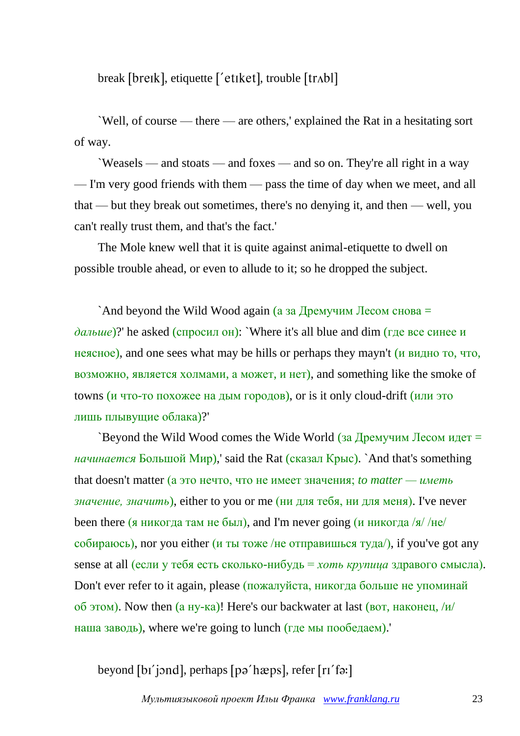break [breɪk], etiquette ['etɪket], trouble [trʌbl]

`Well, of course — there — are others,' explained the Rat in a hesitating sort of way.

`Weasels — and stoats — and foxes — and so on. They're all right in a way — I'm very good friends with them — pass the time of day when we meet, and all that — but they break out sometimes, there's no denying it, and then — well, you can't really trust them, and that's the fact.'

The Mole knew well that it is quite against animal-etiquette to dwell on possible trouble ahead, or even to allude to it; so he dropped the subject.

`And beyond the Wild Wood again (а за Дремучим Лесом снова  $=$ *дальше*)?' he asked (спросил он): `Where it's all blue and dim (где все синее и неясное), and one sees what may be hills or perhaps they mayn't (и видно то, что, возможно, является холмами, а может, и нет), and something like the smoke of towns (и что-то похожее на дым городов), or is it only cloud-drift (или это лишь плывущие облака)?'

`Beyond the Wild Wood comes the Wide World (за Дремучим Лесом идет  $=$ *начинается* Большой Мир),' said the Rat (сказал Крыс). `And that's something that doesn't matter (а это нечто, что не имеет значения; *to matter — иметь значение, значить*), either to you or me (ни для тебя, ни для меня). I've never been there (я никогда там не был), and I'm never going (и никогда /я/ /не/ собираюсь), nor you either (и ты тоже /не отправишься туда/), if you've got any sense at all (если у тебя есть сколько-нибудь = *хоть крупица* здравого смысла). Don't ever refer to it again, please (пожалуйста, никогда больше не упоминай об этом). Now then  $(a\text{ HY-Ka})!$  Here's our backwater at last (вот, наконец, /и/ наша заводь), where we're going to lunch (где мы пообедаем).'

beyond [bɪ' jɔnd], perhaps [pə' hæps], refer [rɪ' fə:]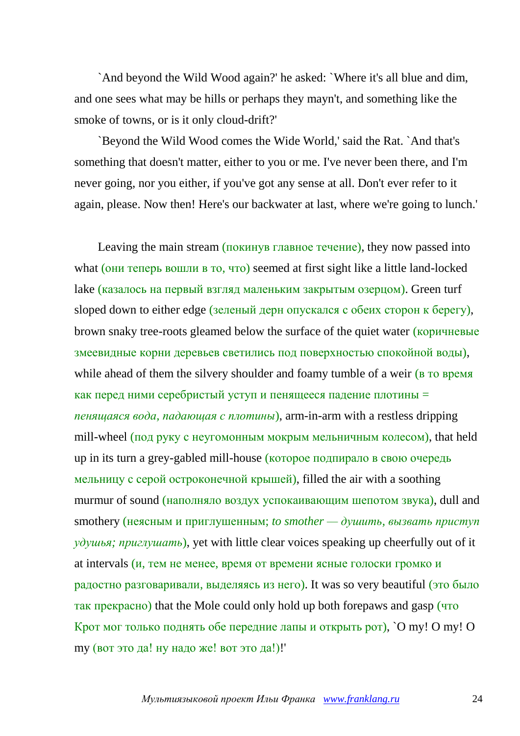`And beyond the Wild Wood again?' he asked: `Where it's all blue and dim, and one sees what may be hills or perhaps they mayn't, and something like the smoke of towns, or is it only cloud-drift?'

`Beyond the Wild Wood comes the Wide World,' said the Rat. `And that's something that doesn't matter, either to you or me. I've never been there, and I'm never going, nor you either, if you've got any sense at all. Don't ever refer to it again, please. Now then! Here's our backwater at last, where we're going to lunch.'

Leaving the main stream (покинув главное течение), they now passed into what (они теперь вошли в то, что) seemed at first sight like a little land-locked lake (казалось на первый взгляд маленьким закрытым озерцом). Green turf sloped down to either edge (зеленый дерн опускался с обеих сторон к берегу), brown snaky tree-roots gleamed below the surface of the quiet water (коричневые змеевидные корни деревьев светились под поверхностью спокойной воды), while ahead of them the silvery shoulder and foamy tumble of a weir (**в** то время как перед ними серебристый уступ и пенящееся падение плотины = *пенящаяся вода, падающая с плотины*), arm-in-arm with a restless dripping mill-wheel (под руку с неугомонным мокрым мельничным колесом), that held up in its turn a grey-gabled mill-house (которое подпирало в свою очередь мельницу с серой остроконечной крышей), filled the air with a soothing murmur of sound (наполняло воздух успокаивающим шепотом звука), dull and smothery (неясным и приглушенным; *to smother — душить, вызвать приступ удушья; приглушать*), yet with little clear voices speaking up cheerfully out of it at intervals (и, тем не менее, время от времени ясные голоски громко и радостно разговаривали, выделяясь из него). It was so very beautiful (это было так прекрасно) that the Mole could only hold up both forepaws and gasp (что Крот мог только поднять обе передние лапы и открыть рот), `O my! O my! O my (вот это да! ну надо же! вот это да!)!'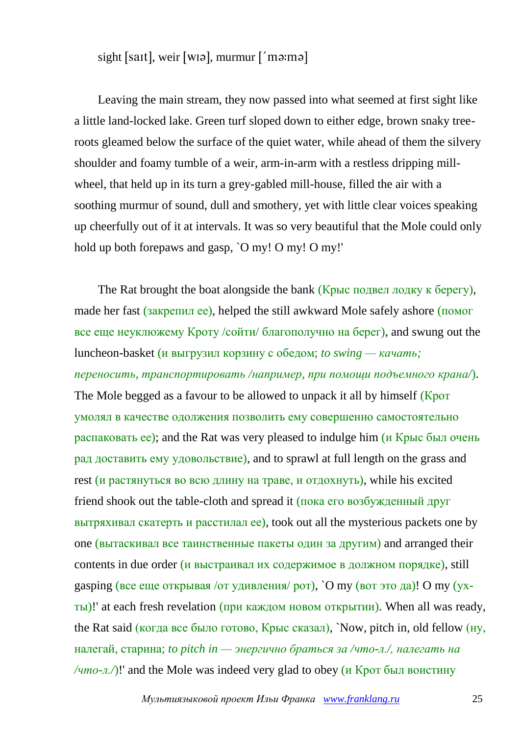sight [sait], weir [wiə], murmur  $\lceil$  maima]

Leaving the main stream, they now passed into what seemed at first sight like a little land-locked lake. Green turf sloped down to either edge, brown snaky treeroots gleamed below the surface of the quiet water, while ahead of them the silvery shoulder and foamy tumble of a weir, arm-in-arm with a restless dripping millwheel, that held up in its turn a grey-gabled mill-house, filled the air with a soothing murmur of sound, dull and smothery, yet with little clear voices speaking up cheerfully out of it at intervals. It was so very beautiful that the Mole could only hold up both forepaws and gasp, `O my! O my! O my!'

The Rat brought the boat alongside the bank (Крыс подвел лодку к берегу), made her fast (закрепил ее), helped the still awkward Mole safely ashore (помог все еще неуклюжему Кроту /сойти/ благополучно на берег), and swung out the luncheon-basket (и выгрузил корзину с обедом; *to swing — качать; переносить, транспортировать /например, при помощи подъемного крана/*). The Mole begged as a favour to be allowed to unpack it all by himself (Kpot умолял в качестве одолжения позволить ему совершенно самостоятельно распаковать ее); and the Rat was very pleased to indulge him (и Крыс был очень рад доставить ему удовольствие), and to sprawl at full length on the grass and rest (и растянуться во всю длину на траве, и отдохнуть), while his excited friend shook out the table-cloth and spread it (пока его возбужденный друг вытряхивал скатерть и расстилал ее), took out all the mysterious packets one by one (вытаскивал все таинственные пакеты один за другим) and arranged their contents in due order (и выстраивал их содержимое в должном порядке), still gasping (все еще открывая /от удивления/ рот), `O my (вот это да)! O my (ухты)!' at each fresh revelation (при каждом новом открытии). When all was ready, the Rat said (когда все было готово, Крыс сказал), `Now, pitch in, old fellow (ну, налегай, старина; *to pitch in — энергично браться за /что-л./, налегать на /что-л.*)!' and the Mole was indeed very glad to obey (и Крот был воистину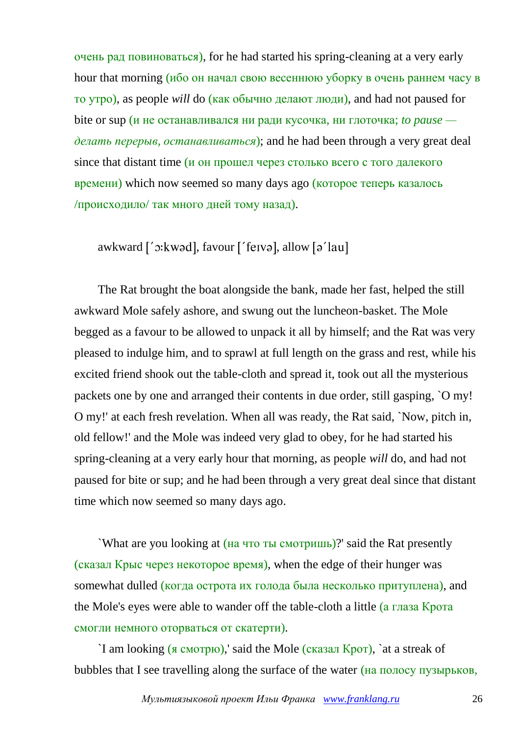очень рад повиноваться), for he had started his spring-cleaning at a very early hour that morning (ибо он начал свою весеннюю уборку в очень раннем часу в то утро), as people *will* do (как обычно делают люди), and had not paused for bite or sup (и не останавливался ни ради кусочка, ни глоточка; *to pause делать перерыв, останавливаться*); and he had been through a very great deal since that distant time (*и* он прошел через столько всего с того далекого времени) which now seemed so many days ago (которое теперь казалось /происходило/ так много дней тому назад).

awkward ['cxkwəd], favour ['feɪvə], allow [ə'lau]

The Rat brought the boat alongside the bank, made her fast, helped the still awkward Mole safely ashore, and swung out the luncheon-basket. The Mole begged as a favour to be allowed to unpack it all by himself; and the Rat was very pleased to indulge him, and to sprawl at full length on the grass and rest, while his excited friend shook out the table-cloth and spread it, took out all the mysterious packets one by one and arranged their contents in due order, still gasping, `O my! O my!' at each fresh revelation. When all was ready, the Rat said, `Now, pitch in, old fellow!' and the Mole was indeed very glad to obey, for he had started his spring-cleaning at a very early hour that morning, as people *will* do, and had not paused for bite or sup; and he had been through a very great deal since that distant time which now seemed so many days ago.

`What are you looking at (на что ты смотришь)?' said the Rat presently (сказал Крыс через некоторое время), when the edge of their hunger was somewhat dulled (когда острота их голода была несколько притуплена), and the Mole's eyes were able to wander off the table-cloth a little (а глаза Крота смогли немного оторваться от скатерти).

`I am looking (я смотрю),' said the Mole (сказал Крот), `at a streak of bubbles that I see travelling along the surface of the water (на полосу пузырьков,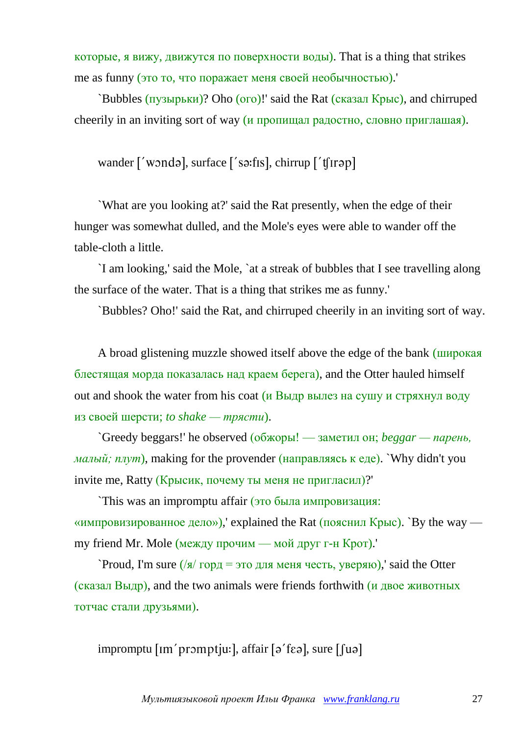которые, я вижу, движутся по поверхности воды). That is a thing that strikes me as funny (это то, что поражает меня своей необычностью).'

`Bubbles (пузырьки)? Oho (ого)!' said the Rat (сказал Крыс), and chirruped cheerily in an inviting sort of way (и пропищал радостно, словно приглашая).

wander ['wondə], surface ['sə:fɪs], chirrup ['tʃɪrəp]

`What are you looking at?' said the Rat presently, when the edge of their hunger was somewhat dulled, and the Mole's eyes were able to wander off the table-cloth a little.

`I am looking,' said the Mole, `at a streak of bubbles that I see travelling along the surface of the water. That is a thing that strikes me as funny.'

`Bubbles? Oho!' said the Rat, and chirruped cheerily in an inviting sort of way.

A broad glistening muzzle showed itself above the edge of the bank (широкая блестящая морда показалась над краем берега), and the Otter hauled himself out and shook the water from his coat (и Выдр вылез на сушу и cтряхнул воду из своей шерсти; *to shake — трясти*).

`Greedy beggars!' he observed (обжоры! — заметил он; *beggar — парень, малый; плут*), making for the provender (направляясь к еде). `Why didn't you invite me, Ratty (Крысик, почему ты меня не пригласил)?'

`This was an impromptu affair (это была импровизация: «импровизированное дело»),' explained the Rat (пояснил Крыс). `By the way my friend Mr. Mole (между прочим — мой друг г-н Крот).'

`Proud, I'm sure  $\frac{1}{8}$  горд = это для меня честь, уверяю), said the Otter (сказал Выдр), and the two animals were friends forthwith (и двое животных тотчас стали друзьями).

impromptu  $\lceil \text{Im}' \text{prompt} \rceil$ u:  $\lceil \text{affair} \rceil$ ə' f $\epsilon$ ə $\lceil \text{tan} \rceil$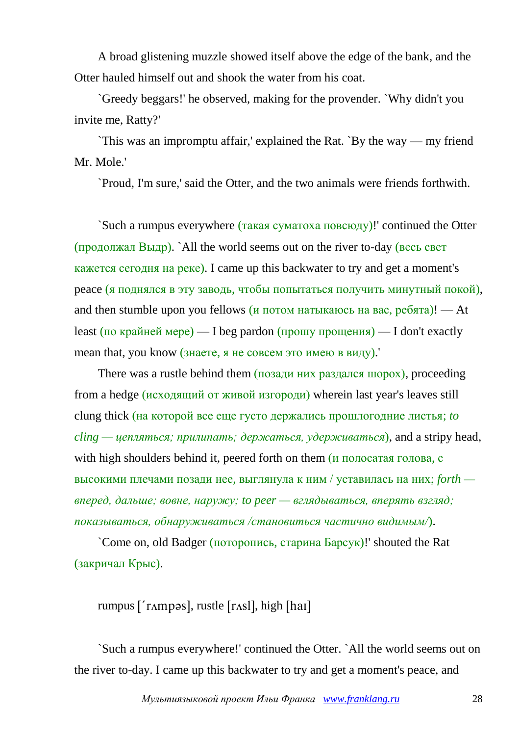A broad glistening muzzle showed itself above the edge of the bank, and the Otter hauled himself out and shook the water from his coat.

`Greedy beggars!' he observed, making for the provender. `Why didn't you invite me, Ratty?'

`This was an impromptu affair,' explained the Rat. `By the way — my friend Mr. Mole.'

`Proud, I'm sure,' said the Otter, and the two animals were friends forthwith.

`Such a rumpus everywhere (такая суматоха повсюду)!' continued the Otter (продолжал Выдр). `All the world seems out on the river to-day (весь свет кажется сегодня на реке). I came up this backwater to try and get a moment's peace (я поднялся в эту заводь, чтобы попытаться получить минутный покой), and then stumble upon you fellows (и потом натыкаюсь на вас, ребята)! — At least (по крайней мере) — I beg pardon (прошу прощения) — I don't exactly mean that, you know (знаете, я не совсем это имею в виду).'

There was a rustle behind them  $(n_{0.032})$  них раздался шорох), proceeding from a hedge (исходящий от живой изгороди) wherein last year's leaves still clung thick (на которой все еще густо держались прошлогодние листья; *to*  $\chi$ *cling* — *цепляться; прилипать; держаться, удерживаться*), and a stripy head, with high shoulders behind it, peered forth on them (*и* полосатая голова, с высокими плечами позади нее, выглянула к ним / уставилась на них; *forth вперед, дальше; вовне, наружу; to peer — вглядываться, вперять взгляд; показываться, обнаруживаться /становиться частично видимым/*).

`Come on, old Badger (поторопись, старина Барсук)!' shouted the Rat (закричал Крыс).

rumpus  $\lceil \text{rampas} \rceil$ , rustle  $\lceil \text{rash} \rceil$ , high  $\lceil \text{har} \rceil$ 

`Such a rumpus everywhere!' continued the Otter. `All the world seems out on the river to-day. I came up this backwater to try and get a moment's peace, and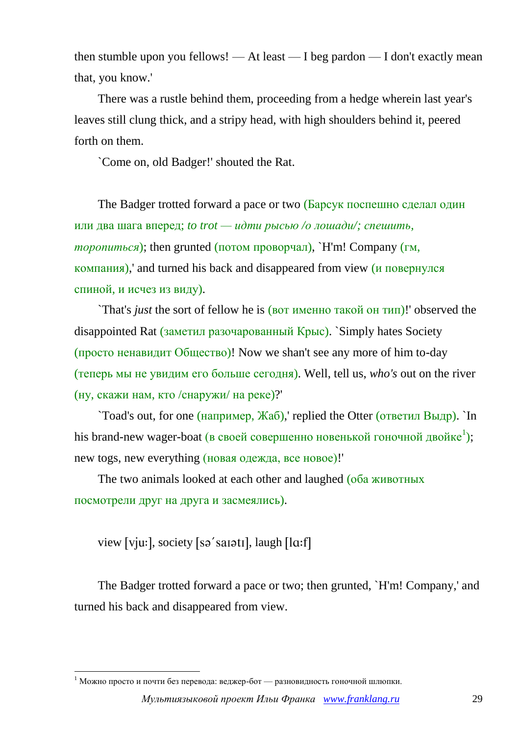then stumble upon you fellows! — At least — I beg pardon — I don't exactly mean that, you know.'

There was a rustle behind them, proceeding from a hedge wherein last year's leaves still clung thick, and a stripy head, with high shoulders behind it, peered forth on them.

`Come on, old Badger!' shouted the Rat.

The Badger trotted forward a pace or two (Барсук поспешно сделал один или два шага вперед; *to trot — идти рысью /о лошади/; спешить, торопиться*); then grunted (потом проворчал), `H'm! Company (гм, компания),' and turned his back and disappeared from view (и повернулся спиной, и исчез из виду).

`That's *just* the sort of fellow he is (вот именно такой он тип)!' observed the disappointed Rat (заметил разочарованный Крыс). `Simply hates Society (просто ненавидит Общество)! Now we shan't see any more of him to-day (теперь мы не увидим его больше сегодня). Well, tell us, *who's* out on the river (ну, скажи нам, кто /снаружи/ на реке)?'

`Toad's out, for one (например, Жаб),' replied the Otter (ответил Выдр). `In his brand-new wager-boat (в своей совершенно новенькой гоночной двойке<sup>1</sup>); new togs, new everything (новая одежда, все новое)!'

The two animals looked at each other and laughed (оба животных посмотрели друг на друга и засмеялись).

view [vju:], society [sə'sarətr], laugh [lɑ:f]

1

The Badger trotted forward a pace or two; then grunted, `H'm! Company,' and turned his back and disappeared from view.

 $1$  Можно просто и почти без перевода: веджер-бот — разновидность гоночной шлюпки.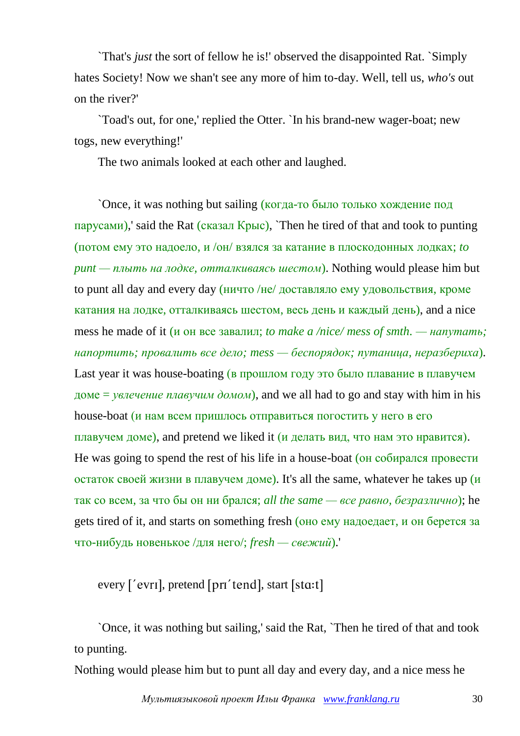`That's *just* the sort of fellow he is!' observed the disappointed Rat. `Simply hates Society! Now we shan't see any more of him to-day. Well, tell us, *who's* out on the river?'

`Toad's out, for one,' replied the Otter. `In his brand-new wager-boat; new togs, new everything!'

The two animals looked at each other and laughed.

`Once, it was nothing but sailing (когда-то было только хождение под парусами),' said the Rat (сказал Крыс), `Then he tired of that and took to punting (потом ему это надоело, и /он/ взялся за катание в плоскодонных лодках; *to punt — плыть на лодке, отталкиваясь шестом*). Nothing would please him but to punt all day and every day (ничто /не/ доставляло ему удовольствия, кроме катания на лодке, отталкиваясь шестом, весь день и каждый день), and a nice mess he made of it (и он все завалил; *to make a /nice/ mess of smth. — напутать; напортить; провалить все дело; mess — беспорядок; путаница, неразбериха*). Last year it was house-boating (в прошлом году это было плавание в плавучем доме = *увлечение плавучим домом*), and we all had to go and stay with him in his house-boat (*и* нам всем пришлось отправиться погостить у него в его плавучем доме), and pretend we liked it (и делать вид, что нам это нравится). He was going to spend the rest of his life in a house-boat (он собирался провести остаток своей жизни в плавучем доме). It's all the same, whatever he takes up  $(u)$ так со всем, за что бы он ни брался; *all the same — все равно, безразлично*); he gets tired of it, and starts on something fresh (оно ему надоедает, и он берется за что-нибудь новенькое /для него/; *fresh — свежий*).'

every ['evri], pretend [pri'tend], start [stɑ:t]

`Once, it was nothing but sailing,' said the Rat, `Then he tired of that and took to punting.

Nothing would please him but to punt all day and every day, and a nice mess he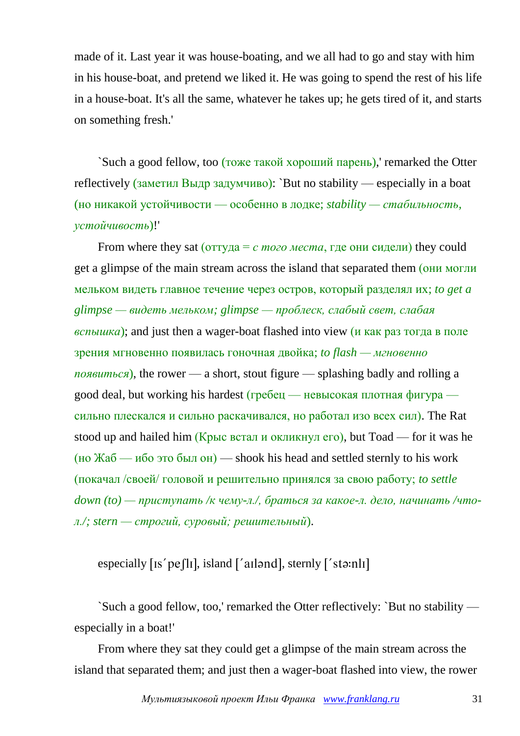made of it. Last year it was house-boating, and we all had to go and stay with him in his house-boat, and pretend we liked it. He was going to spend the rest of his life in a house-boat. It's all the same, whatever he takes up; he gets tired of it, and starts on something fresh.'

`Such a good fellow, too (тоже такой хороший парень),' remarked the Otter reflectively (заметил Выдр задумчиво): `But no stability — especially in a boat (но никакой устойчивости — особенно в лодке; *stability — стабильность, устойчивость*)!'

From where they sat ( $\sigma$ туда = *с того места*, где они сидели) they could get a glimpse of the main stream across the island that separated them (они могли мельком видеть главное течение через остров, который разделял их; *to get a glimpse — видеть мельком; glimpse — проблеск, слабый свет, слабая вспышка*); and just then a wager-boat flashed into view (и как раз тогда в поле зрения мгновенно появилась гоночная двойка; *to flash — мгновенно появиться*), the rower — a short, stout figure — splashing badly and rolling a good deal, but working his hardest (гребец — невысокая плотная фигура сильно плескался и сильно раскачивался, но работал изо всех сил). The Rat stood up and hailed him (Крыс встал и окликнул его), but Toad — for it was he (но Жаб — ибо это был он) — shook his head and settled sternly to his work (покачал /своей/ головой и решительно принялся за свою работу; *to settle down (to) — приступать /к чему-л./, браться за какое-л. дело, начинать /чтол./; stern — строгий, суровый; решительный*).

especially  $[is'pe/ll]$ , island  $['al]$ , sternly  $['stə:nll]$ 

`Such a good fellow, too,' remarked the Otter reflectively: `But no stability especially in a boat!'

From where they sat they could get a glimpse of the main stream across the island that separated them; and just then a wager-boat flashed into view, the rower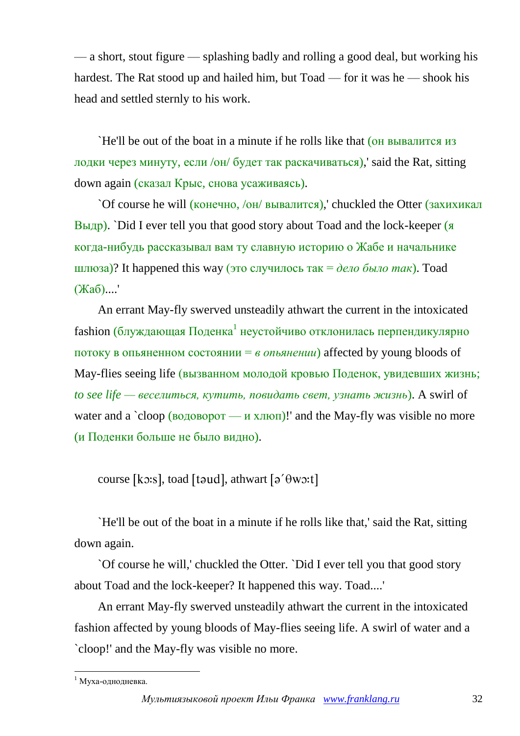— a short, stout figure — splashing badly and rolling a good deal, but working his hardest. The Rat stood up and hailed him, but Toad — for it was he — shook his head and settled sternly to his work.

`He'll be out of the boat in a minute if he rolls like that (он вывалится из лодки через минуту, если /он/ будет так раскачиваться),' said the Rat, sitting down again (сказал Крыс, снова усаживаясь).

`Of course he will (конечно, /он/ вывалится),' chuckled the Otter (захихикал Выдр). `Did I ever tell you that good story about Toad and the lock-keeper (я когда-нибудь рассказывал вам ту славную историю о Жабе и начальнике шлюза)? It happened this way (это случилось так = *дело было так*). Toad (Жаб)....'

An errant May-fly swerved unsteadily athwart the current in the intoxicated fashion (блуждающая Поденка<sup>1</sup> неустойчиво отклонилась перпендикулярно потоку в опьяненном состоянии = *в опьянении*) affected by young bloods of May-flies seeing life (вызванном молодой кровью Поденок, увидевших жизнь; *to see life — веселиться, кутить, повидать свет, узнать жизнь*). A swirl of water and a  $\text{cloop}$  (водоворот — и хлюп)! and the May-fly was visible no more (и Поденки больше не было видно).

course [ko:s], toad [toud], athwart [ $\vartheta$ ' $\theta$ wo:t]

`He'll be out of the boat in a minute if he rolls like that,' said the Rat, sitting down again.

`Of course he will,' chuckled the Otter. `Did I ever tell you that good story about Toad and the lock-keeper? It happened this way. Toad....'

An errant May-fly swerved unsteadily athwart the current in the intoxicated fashion affected by young bloods of May-flies seeing life. A swirl of water and a `cloop!' and the May-fly was visible no more.

<sup>1</sup>  $<sup>1</sup>$  Муха-однодневка.</sup>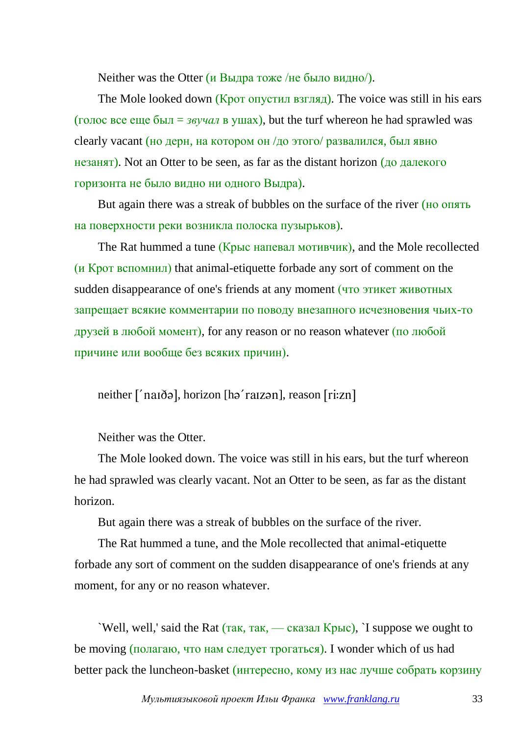Neither was the Otter (и Выдра тоже /не было видно/).

The Mole looked down (Крот опустил взгляд). The voice was still in his ears (голос все еще был = *звучал* в ушах), but the turf whereon he had sprawled was clearly vacant (но дерн, на котором он /до этого/ развалился, был явно незанят). Not an Otter to be seen, as far as the distant horizon (до далекого горизонта не было видно ни одного Выдра).

But again there was a streak of bubbles on the surface of the river (но опять на поверхности реки возникла полоска пузырьков).

The Rat hummed a tune (Крыс напевал мотивчик), and the Mole recollected (и Крот вспомнил) that animal-etiquette forbade any sort of comment on the sudden disappearance of one's friends at any moment (что этикет животных запрещает всякие комментарии по поводу внезапного исчезновения чьих-то друзей в любой момент), for any reason or no reason whatever (по любой причине или вообще без всяких причин).

neither ['naidə], horizon [hə'raizən], reason [ri:zn]

Neither was the Otter.

The Mole looked down. The voice was still in his ears, but the turf whereon he had sprawled was clearly vacant. Not an Otter to be seen, as far as the distant horizon.

But again there was a streak of bubbles on the surface of the river.

The Rat hummed a tune, and the Mole recollected that animal-etiquette forbade any sort of comment on the sudden disappearance of one's friends at any moment, for any or no reason whatever.

`Well, well,' said the Rat (так, так, — сказал Крыс), `I suppose we ought to be moving (полагаю, что нам следует трогаться). I wonder which of us had better pack the luncheon-basket (интересно, кому из нас лучше собрать корзину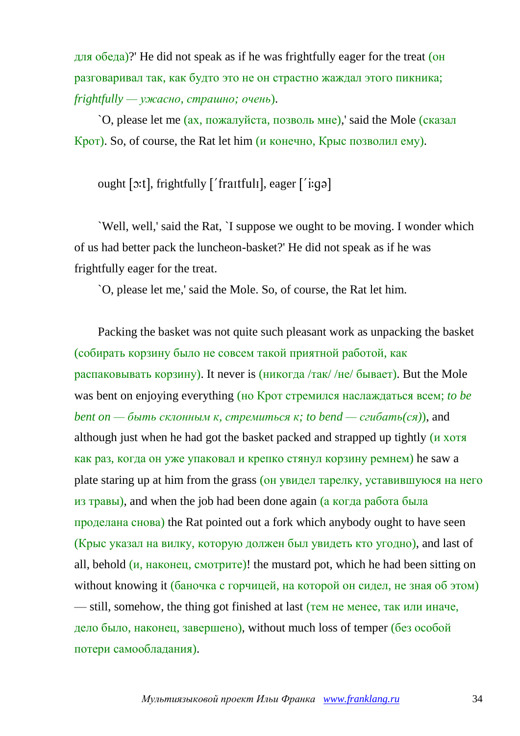для обеда)?' He did not speak as if he was frightfully eager for the treat (он разговаривал так, как будто это не он страстно жаждал этого пикника; *frightfully — ужасно, страшно; очень*).

`O, please let me (ах, пожалуйста, позволь мне),' said the Mole (сказал Крот). So, of course, the Rat let him (и конечно, Крыс позволил ему).

ought [o:t], frightfully ['fraitfuli], eager ['i:gə]

`Well, well,' said the Rat, `I suppose we ought to be moving. I wonder which of us had better pack the luncheon-basket?' He did not speak as if he was frightfully eager for the treat.

`O, please let me,' said the Mole. So, of course, the Rat let him.

Packing the basket was not quite such pleasant work as unpacking the basket (собирать корзину было не совсем такой приятной работой, как распаковывать корзину). It never is (никогда /так/ /не/ бывает). But the Mole was bent on enjoying everything (но Крот стремился наслаждаться всем; *to be bent on — быть склонным к, стремиться к; to bend — сгибать(ся)),* and although just when he had got the basket packed and strapped up tightly (и хотя как раз, когда он уже упаковал и крепко стянул корзину ремнем) he saw a plate staring up at him from the grass (он увидел тарелку, уставившуюся на него из травы), and when the job had been done again (а когда работа была проделана снова) the Rat pointed out a fork which anybody ought to have seen (Крыс указал на вилку, которую должен был увидеть кто угодно), and last of all, behold (и, наконец, смотрите)! the mustard pot, which he had been sitting on without knowing it (баночка с горчицей, на которой он сидел, не зная об этом) — still, somehow, the thing got finished at last (тем не менее, так или иначе, дело было, наконец, завершено), without much loss of temper (без особой потери самообладания).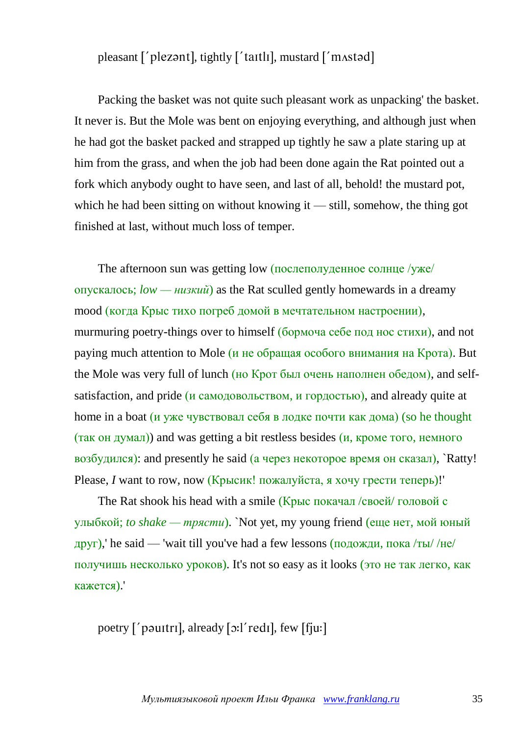pleasant ['plezant], tightly ['taitli], mustard ['mastad]

Packing the basket was not quite such pleasant work as unpacking' the basket. It never is. But the Mole was bent on enjoying everything, and although just when he had got the basket packed and strapped up tightly he saw a plate staring up at him from the grass, and when the job had been done again the Rat pointed out a fork which anybody ought to have seen, and last of all, behold! the mustard pot, which he had been sitting on without knowing it — still, somehow, the thing got finished at last, without much loss of temper.

The afternoon sun was getting low (послеполуденное солнце /уже/ опускалось; *low — низкий*) as the Rat sculled gently homewards in a dreamy mood (когда Крыс тихо погреб домой в мечтательном настроении), murmuring poetry-things over to himself (бормоча себе под нос стихи), and not paying much attention to Mole (и не обращая особого внимания на Крота). But the Mole was very full of lunch (но Крот был очень наполнен обедом), and selfsatisfaction, and pride (и самодовольством, и гордостью), and already quite at home in a boat (и уже чувствовал себя в лодке почти как дома) (so he thought (так он думал)) and was getting a bit restless besides (и, кроме того, немного возбудился): and presently he said (а через некоторое время он сказал), `Ratty! Please, *I* want to row, now (Крысик! пожалуйста, я хочу грести теперь)!

The Rat shook his head with a smile (Крыс покачал /своей/ головой с улыбкой; *to shake — трясти*). `Not yet, my young friend (еще нет, мой юный друг),' he said — 'wait till you've had a few lessons (подожди, пока /ты/ /не/ получишь несколько уроков). It's not so easy as it looks (это не так легко, как кажется).'

poetry  $\lceil \cdot \rceil$  paultril, already  $\lceil \cdot \cdot \rceil$  redil, few  $\lceil \cdot \rceil$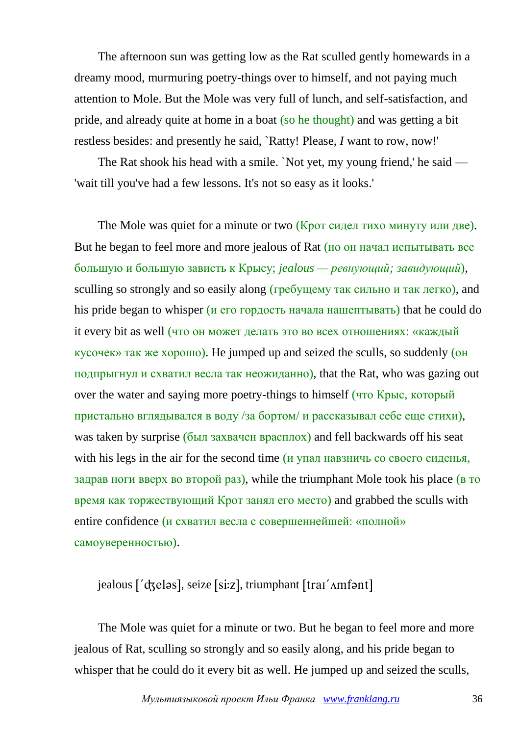The afternoon sun was getting low as the Rat sculled gently homewards in a dreamy mood, murmuring poetry-things over to himself, and not paying much attention to Mole. But the Mole was very full of lunch, and self-satisfaction, and pride, and already quite at home in a boat (so he thought) and was getting a bit restless besides: and presently he said, `Ratty! Please, *I* want to row, now!'

The Rat shook his head with a smile. `Not yet, my young friend,' he said — 'wait till you've had a few lessons. It's not so easy as it looks.'

The Mole was quiet for a minute or two (Крот сидел тихо минуту или две). But he began to feel more and more jealous of Rat (но он начал испытывать все большую и большую зависть к Крысу; *jealous — ревнующий; завидующий*), sculling so strongly and so easily along (гребущему так сильно и так легко), and his pride began to whisper ( $\mu$  его гордость начала нашептывать) that he could do it every bit as well (что он может делать это во всех отношениях: «каждый кусочек» так же хорошо). He jumped up and seized the sculls, so suddenly (он подпрыгнул и схватил весла так неожиданно), that the Rat, who was gazing out over the water and saying more poetry-things to himself (что Крыс, который пристально вглядывался в воду /за бортом/ и рассказывал себе еще стихи), was taken by surprise (был захвачен врасплох) and fell backwards off his seat with his legs in the air for the second time (*и* упал навзничь со своего сиденья, задрав ноги вверх во второй раз), while the triumphant Mole took his place (в то время как торжествующий Крот занял его место) and grabbed the sculls with entire confidence (и схватил весла с совершеннейшей: «полной» самоуверенностью).

jealous ['dʒeləs], seize [si:z], triumphant [traɪ' Amfənt]

The Mole was quiet for a minute or two. But he began to feel more and more jealous of Rat, sculling so strongly and so easily along, and his pride began to whisper that he could do it every bit as well. He jumped up and seized the sculls,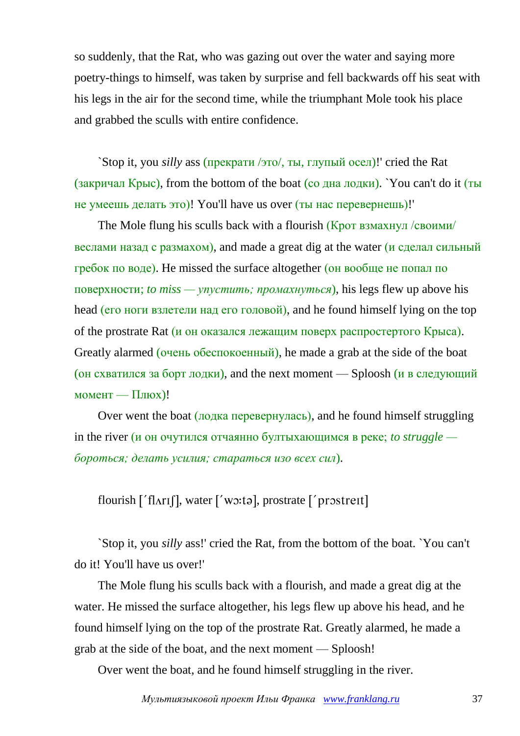so suddenly, that the Rat, who was gazing out over the water and saying more poetry-things to himself, was taken by surprise and fell backwards off his seat with his legs in the air for the second time, while the triumphant Mole took his place and grabbed the sculls with entire confidence.

`Stop it, you *silly* ass (прекрати /это/, ты, глупый осел)!' cried the Rat (закричал Крыс), from the bottom of the boat (со дна лодки). `You can't do it (ты не умеешь делать это)! You'll have us over (ты нас перевернешь)!'

The Mole flung his sculls back with a flourish (Крот взмахнул /своими/ веслами назад с размахом), and made a great dig at the water ( $\mu$  сделал сильный гребок по воде). He missed the surface altogether (он вообще не попал по поверхности; *to miss — упустить; промахнуться*), his legs flew up above his head (его ноги взлетели над его головой), and he found himself lying on the top of the prostrate Rat (и он оказался лежащим поверх распростертого Крыса). Greatly alarmed (очень обеспокоенный), he made a grab at the side of the boat (он схватился за борт лодки), and the next moment — Sploosh (и в следующий момент — Плюх)!

Over went the boat (лодка перевернулась), and he found himself struggling in the river (и он очутился отчаянно бултыхающимся в реке; *to struggle бороться; делать усилия; стараться изо всех сил*).

flourish  $\lceil$  'flart $\lceil$ , water  $\lceil$ ' wo:tal, prostrate  $\lceil$ ' prostrett]

`Stop it, you *silly* ass!' cried the Rat, from the bottom of the boat. `You can't do it! You'll have us over!'

The Mole flung his sculls back with a flourish, and made a great dig at the water. He missed the surface altogether, his legs flew up above his head, and he found himself lying on the top of the prostrate Rat. Greatly alarmed, he made a grab at the side of the boat, and the next moment — Sploosh!

Over went the boat, and he found himself struggling in the river.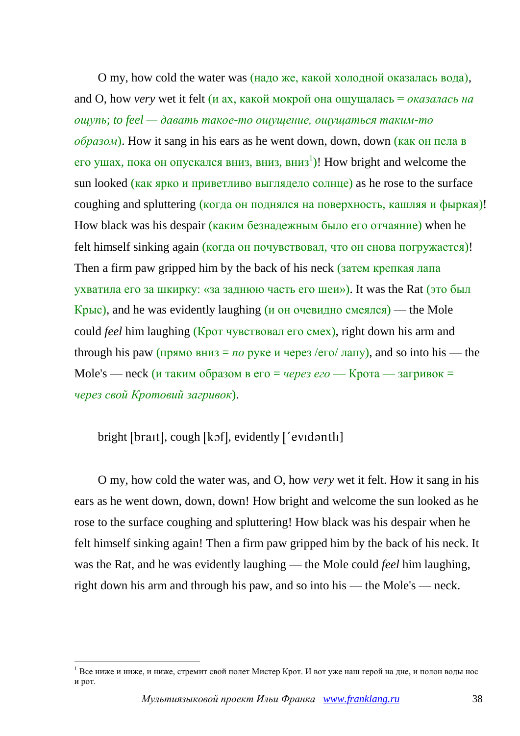O my, how cold the water was (надо же, какой холодной оказалась вода), and O, how *very* wet it felt (*и* ах, какой мокрой она ощущалась = *оказалась на ощупь*; *to feel — давать такое-то ощущение, ощущаться таким-то образом*). How it sang in his ears as he went down, down, down (как он пела в его ушах, пока он опускался вниз, вниз, вниз<sup>1</sup>)! How bright and welcome the sun looked (как ярко и приветливо выглядело солнце) as he rose to the surface coughing and spluttering (когда он поднялся на поверхность, кашляя и фыркая)! How black was his despair (каким безнадежным было его отчаяние) when he felt himself sinking again (когда он почувствовал, что он снова погружается)! Then a firm paw gripped him by the back of his neck (затем крепкая лапа) ухватила его за шкирку: «за заднюю часть его шеи»). It was the Rat (это был  $Kp$ ыс), and he was evidently laughing (и он очевидно смеялся) — the Mole could *feel* him laughing (Крот чувствовал его смех), right down his arm and through his paw ( $\pi$ <sub>D</sub> $\pi$ <sub>N</sub> $\alpha$ ) вниз = *no* pyke *и* через /ero/  $\pi$ <sub>N</sub> $\pi$ <sub>N</sub> $\alpha$ ), and so into his — the Mole's — neck (и таким образом в его = *через его* — Крота — загривок = *через свой Кротовий загривок*).

bright [brait], cough [kɔf], evidently  $['evidently]$ 

1

O my, how cold the water was, and O, how *very* wet it felt. How it sang in his ears as he went down, down, down! How bright and welcome the sun looked as he rose to the surface coughing and spluttering! How black was his despair when he felt himself sinking again! Then a firm paw gripped him by the back of his neck. It was the Rat, and he was evidently laughing — the Mole could *feel* him laughing, right down his arm and through his paw, and so into his — the Mole's — neck.

<sup>&</sup>lt;sup>1</sup> Все ниже и ниже, и ниже, стремит свой полет Мистер Крот. И вот уже наш герой на дне, и полон воды нос и рот.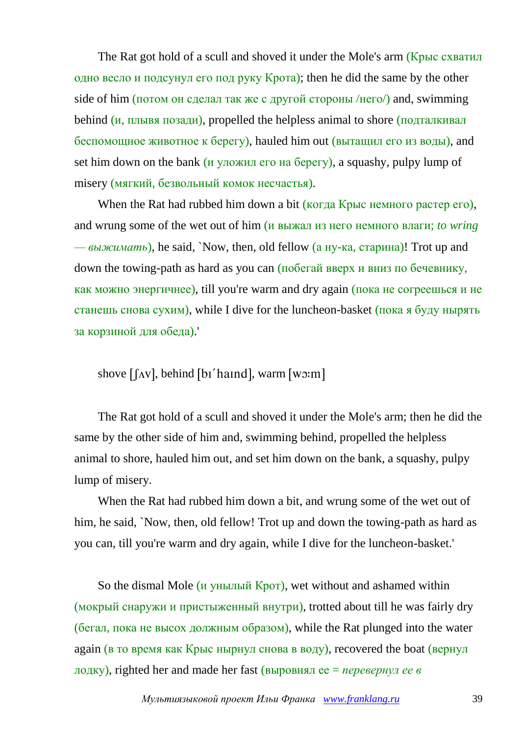The Rat got hold of a scull and shoved it under the Mole's arm (Крыс схватил одно весло и подсунул его под руку Крота); then he did the same by the other side of him (потом он сделал так же с другой стороны /него/) and, swimming behind (и, плывя позади), propelled the helpless animal to shore (подталкивал беспомощное животное к берегу), hauled him out (вытащил его из воды), and set him down on the bank (*и* уложил его на берегу), a squashy, pulpy lump of misery (мягкий, безвольный комок несчастья).

When the Rat had rubbed him down a bit (когда Крыс немного растер его), and wrung some of the wet out of him (и выжал из него немного влаги; *to wring — выжимать*), he said, `Now, then, old fellow (а ну-ка, старина)! Trot up and down the towing-path as hard as you can (побегай вверх и вниз по бечевнику, как можно энергичнее), till you're warm and dry again (пока не согреешься и не станешь снова сухим), while I dive for the luncheon-basket (пока я буду нырять за корзиной для обеда).'

shove  $\lceil \Delta v \rceil$ , behind  $\lceil \delta v' \rceil$  has  $\lceil \Delta v \rceil$ , warm  $\lceil w \rceil$ 

The Rat got hold of a scull and shoved it under the Mole's arm; then he did the same by the other side of him and, swimming behind, propelled the helpless animal to shore, hauled him out, and set him down on the bank, a squashy, pulpy lump of misery.

When the Rat had rubbed him down a bit, and wrung some of the wet out of him, he said, `Now, then, old fellow! Trot up and down the towing-path as hard as you can, till you're warm and dry again, while I dive for the luncheon-basket.'

So the dismal Mole (*и унылый Крот*), wet without and ashamed within (мокрый снаружи и пристыженный внутри), trotted about till he was fairly dry (бегал, пока не высох должным образом), while the Rat plunged into the water again (в то время как Крыс нырнул снова в воду), recovered the boat (вернул лодку), righted her and made her fast (выровнял ее = *перевернул ее в*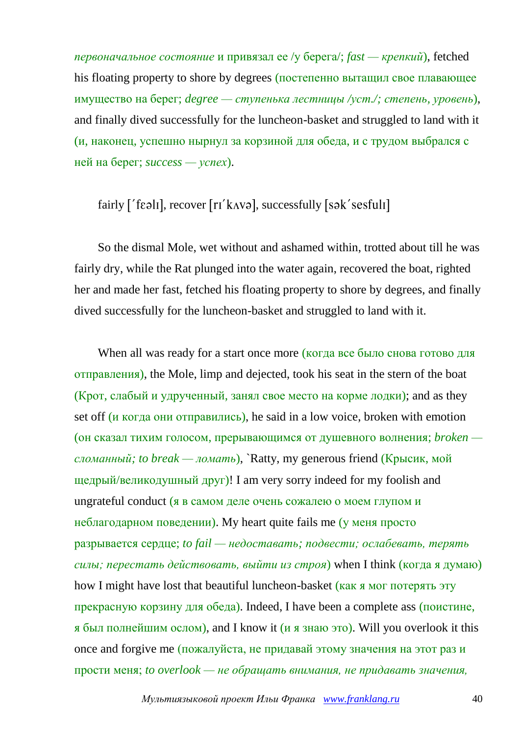*первоначальное состояние* и привязал ее /у берега/; *fast — крепкий*), fetched his floating property to shore by degrees (постепенно вытащил свое плавающее имущество на берег; *degree — ступенька лестницы /уст./; степень, уровень*), and finally dived successfully for the luncheon-basket and struggled to land with it (и, наконец, успешно нырнул за корзиной для обеда, и с трудом выбрался с ней на берег; *success — успех*).

## $fairly$   $['f\epsilon \theta II]$ , recover  $[ri'k \Delta V\theta]$ , successfully  $[s\theta K' \text{sefull}]$

So the dismal Mole, wet without and ashamed within, trotted about till he was fairly dry, while the Rat plunged into the water again, recovered the boat, righted her and made her fast, fetched his floating property to shore by degrees, and finally dived successfully for the luncheon-basket and struggled to land with it.

When all was ready for a start once more (когда все было снова готово для отправления), the Mole, limp and dejected, took his seat in the stern of the boat (Крот, слабый и удрученный, занял свое место на корме лодки); and as they set off (и когда они отправились), he said in a low voice, broken with emotion (он сказал тихим голосом, прерывающимся от душевного волнения; *broken сломанный; to break — ломать*), `Ratty, my generous friend (Крысик, мой щедрый/великодушный друг)! I am very sorry indeed for my foolish and ungrateful conduct (я в самом деле очень сожалею о моем глупом и неблагодарном поведении). My heart quite fails me (у меня просто разрывается сердце; *to fail — недоставать; подвести; ослабевать, терять силы; перестать действовать, выйти из строя*) when I think (когда я думаю) how I might have lost that beautiful luncheon-basket (как я мог потерять эту прекрасную корзину для обеда). Indeed, I have been a complete ass (поистине, я был полнейшим ослом), and I know it (и я знаю это). Will you overlook it this once and forgive me (пожалуйста, не придавай этому значения на этот раз и прости меня; *to overlook — не обращать внимания, не придавать значения,*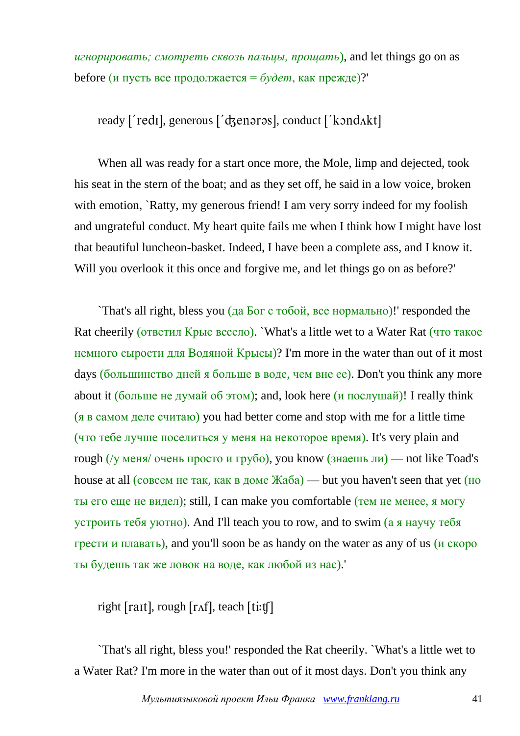*игнорировать; смотреть сквозь пальцы, прощать*), and let things go on as before (и пусть все продолжается = *будет*, как прежде)?'

ready ['redi], generous ['d3enaras], conduct ['kond^akt]

When all was ready for a start once more, the Mole, limp and dejected, took his seat in the stern of the boat; and as they set off, he said in a low voice, broken with emotion, `Ratty, my generous friend! I am very sorry indeed for my foolish and ungrateful conduct. My heart quite fails me when I think how I might have lost that beautiful luncheon-basket. Indeed, I have been a complete ass, and I know it. Will you overlook it this once and forgive me, and let things go on as before?'

`That's all right, bless you (да Бог с тобой, все нормально)!' responded the Rat cheerily (ответил Крыс весело). `What's a little wet to a Water Rat (что такое немного сырости для Водяной Крысы)? I'm more in the water than out of it most days (большинство дней я больше в воде, чем вне ее). Don't you think any more about it (больше не думай об этом); and, look here (и послушай)! I really think (я в самом деле считаю) you had better come and stop with me for a little time (что тебе лучше поселиться у меня на некоторое время). It's very plain and rough (/у меня/ очень просто и грубо), you know (знаешь ли) — not like Toad's house at all (совсем не так, как в доме  $\mathbb{K}a\overline{a}$ ) — but you haven't seen that yet (но ты его еще не видел); still, I can make you comfortable (тем не менее, я могу устроить тебя уютно). And I'll teach you to row, and to swim (а я научу тебя грести и плавать), and you'll soon be as handy on the water as any of us (и скоро ты будешь так же ловок на воде, как любой из нас).'

right  $[rat]$ , rough  $[raf]$ , teach  $[tit]$ 

`That's all right, bless you!' responded the Rat cheerily. `What's a little wet to a Water Rat? I'm more in the water than out of it most days. Don't you think any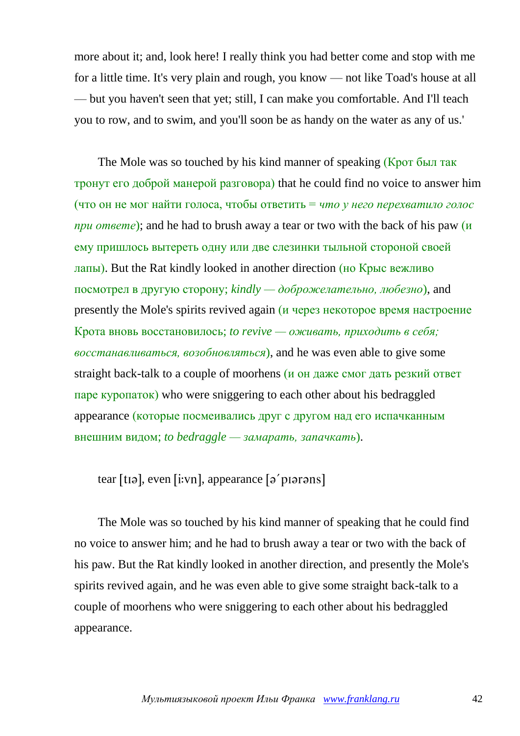more about it; and, look here! I really think you had better come and stop with me for a little time. It's very plain and rough, you know — not like Toad's house at all — but you haven't seen that yet; still, I can make you comfortable. And I'll teach you to row, and to swim, and you'll soon be as handy on the water as any of us.'

The Mole was so touched by his kind manner of speaking (Крот был так тронут его доброй манерой разговора) that he could find no voice to answer him (что он не мог найти голоса, чтобы ответить = *что у него перехватило голос при ответе*); and he had to brush away a tear or two with the back of his paw (и ему пришлось вытереть одну или две слезинки тыльной стороной своей лапы). But the Rat kindly looked in another direction (но Крыс вежливо посмотрел в другую сторону; *kindly — доброжелательно, любезно*), and presently the Mole's spirits revived again (и через некоторое время настроение Крота вновь восстановилось; *to revive — оживать, приходить в себя; восстанавливаться, возобновляться*), and he was even able to give some straight back-talk to a couple of moorhens (и он даже смог дать резкий ответ паре куропаток) who were sniggering to each other about his bedraggled appearance (которые посмеивались друг с другом над его испачканным внешним видом; *to bedraggle — замарать, запачкать*).

### tear  $[t]$ , even  $[i:vn]$ , appearance  $[s]$  proposed

The Mole was so touched by his kind manner of speaking that he could find no voice to answer him; and he had to brush away a tear or two with the back of his paw. But the Rat kindly looked in another direction, and presently the Mole's spirits revived again, and he was even able to give some straight back-talk to a couple of moorhens who were sniggering to each other about his bedraggled appearance.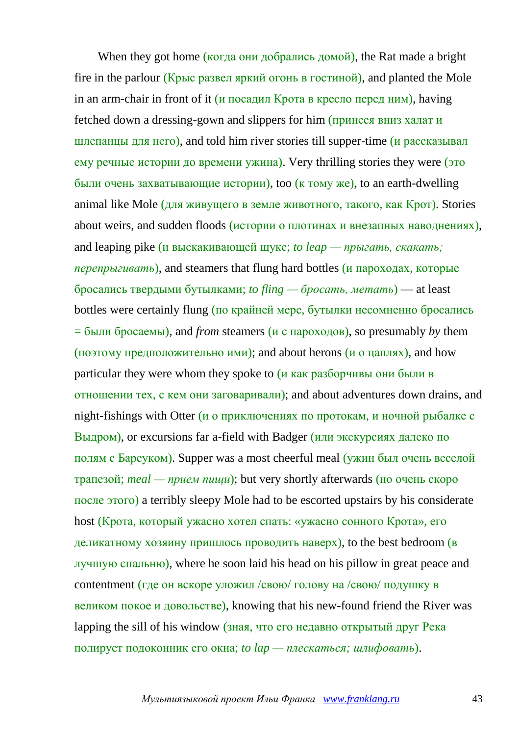When they got home (когда они добрались домой), the Rat made a bright fire in the parlour (Крыс развел яркий огонь в гостиной), and planted the Mole in an arm-chair in front of it (и посадил Крота в кресло перед ним), having fetched down a dressing-gown and slippers for him (принеся вниз халат и шлепанцы для него), and told him river stories till supper-time (и рассказывал ему речные истории до времени ужина). Very thrilling stories they were (это были очень захватывающие истории), too (к тому же), to an earth-dwelling animal like Mole (для живущего в земле животного, такого, как Крот). Stories about weirs, and sudden floods (истории о плотинах и внезапных наводнениях), and leaping pike (и выскакивающей щуке; *to leap — прыгать, скакать; перепрыгивать*), and steamers that flung hard bottles (и пароходах, которые бросались твердыми бутылками; *to fling — бросать, метать*) — at least bottles were certainly flung (по крайней мере, бутылки несомненно бросались  $=$  были бросаемы), and *from* steamers (*и* с пароходов), so presumably *by* them (поэтому предположительно ими); and about herons (и о цаплях), and how particular they were whom they spoke to  $(u$  как разборчивы они были в отношении тех, с кем они заговаривали); and about adventures down drains, and night-fishings with Otter ( $\mu$  о приключениях по протокам, и ночной рыбалке с Выдром), or excursions far a-field with Badger (или экскурсиях далеко по полям с Барсуком). Supper was a most cheerful meal (ужин был очень веселой трапезой; *meal — прием пищи*); but very shortly afterwards (но очень скоро после этого) a terribly sleepy Mole had to be escorted upstairs by his considerate host (Крота, который ужасно хотел спать: «ужасно сонного Крота», его деликатному хозяину пришлось проводить наверх), to the best bedroom (в лучшую спальню), where he soon laid his head on his pillow in great peace and contentment (где он вскоре уложил /свою/ голову на /свою/ подушку в великом покое и довольстве), knowing that his new-found friend the River was lapping the sill of his window (зная, что его недавно открытый друг Река полирует подоконник его окна; *to lap — плескаться; шлифовать*).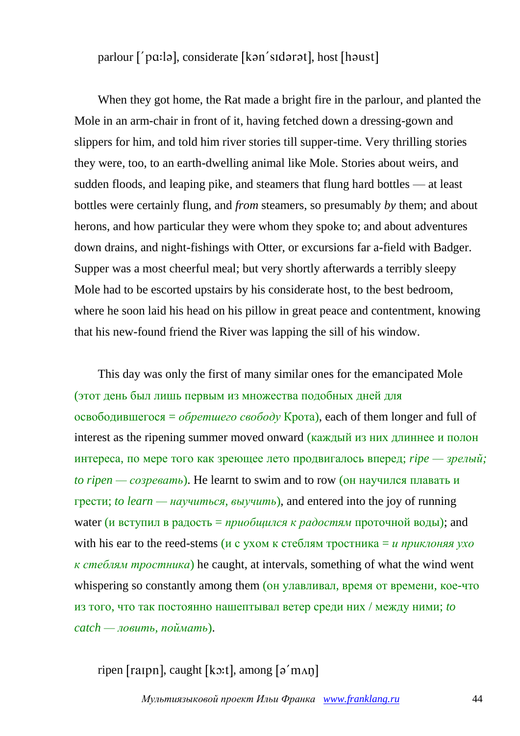parlour ['pɑ:lə], considerate [kən'sɪdərət], host [həust]

When they got home, the Rat made a bright fire in the parlour, and planted the Mole in an arm-chair in front of it, having fetched down a dressing-gown and slippers for him, and told him river stories till supper-time. Very thrilling stories they were, too, to an earth-dwelling animal like Mole. Stories about weirs, and sudden floods, and leaping pike, and steamers that flung hard bottles — at least bottles were certainly flung, and *from* steamers, so presumably *by* them; and about herons, and how particular they were whom they spoke to; and about adventures down drains, and night-fishings with Otter, or excursions far a-field with Badger. Supper was a most cheerful meal; but very shortly afterwards a terribly sleepy Mole had to be escorted upstairs by his considerate host, to the best bedroom, where he soon laid his head on his pillow in great peace and contentment, knowing that his new-found friend the River was lapping the sill of his window.

This day was only the first of many similar ones for the emancipated Mole (этот день был лишь первым из множества подобных дней для освободившегося = *обретшего свободу* Крота), each of them longer and full of interest as the ripening summer moved onward (каждый из них длиннее и полон интереса, по мере того как зреющее лето продвигалось вперед; *ripe — зрелый; to ripen — созревать*). He learnt to swim and to row (он научился плавать и грести; *to learn — научиться, выучить*), and entered into the joy of running water (и вступил в радость = *приобщился к радостям* проточной воды); and with his ear to the reed-stems (и с ухом к стеблям тростника = *и приклоняя ухо к стеблям тростника*) he caught, at intervals, something of what the wind went whispering so constantly among them (он улавливал, время от времени, кое-что из того, что так постоянно нашептывал ветер среди них / между ними; *to catch — ловить, поймать*).

ripen [raipn], caught [kɔ:t], among  $\lceil 9'$  m $\Lambda$ n]